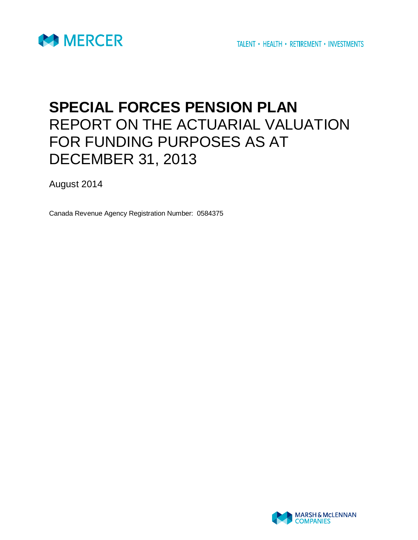

# **SPECIAL FORCES PENSION PLAN** REPORT ON THE ACTUARIAL VALUATION FOR FUNDING PURPOSES AS AT DECEMBER 31, 2013

August 2014

Canada Revenue Agency Registration Number: 0584375

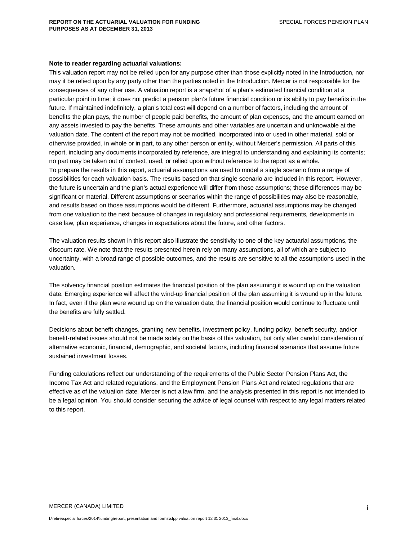#### **Note to reader regarding actuarial valuations:**

This valuation report may not be relied upon for any purpose other than those explicitly noted in the Introduction, nor may it be relied upon by any party other than the parties noted in the Introduction. Mercer is not responsible for the consequences of any other use. A valuation report is a snapshot of a plan's estimated financial condition at a particular point in time; it does not predict a pension plan's future financial condition or its ability to pay benefits in the future. If maintained indefinitely, a plan's total cost will depend on a number of factors, including the amount of benefits the plan pays, the number of people paid benefits, the amount of plan expenses, and the amount earned on any assets invested to pay the benefits. These amounts and other variables are uncertain and unknowable at the valuation date. The content of the report may not be modified, incorporated into or used in other material, sold or otherwise provided, in whole or in part, to any other person or entity, without Mercer's permission. All parts of this report, including any documents incorporated by reference, are integral to understanding and explaining its contents; no part may be taken out of context, used, or relied upon without reference to the report as a whole. To prepare the results in this report, actuarial assumptions are used to model a single scenario from a range of possibilities for each valuation basis. The results based on that single scenario are included in this report. However, the future is uncertain and the plan's actual experience will differ from those assumptions; these differences may be significant or material. Different assumptions or scenarios within the range of possibilities may also be reasonable, and results based on those assumptions would be different. Furthermore, actuarial assumptions may be changed from one valuation to the next because of changes in regulatory and professional requirements, developments in case law, plan experience, changes in expectations about the future, and other factors.

The valuation results shown in this report also illustrate the sensitivity to one of the key actuarial assumptions, the discount rate. We note that the results presented herein rely on many assumptions, all of which are subject to uncertainty, with a broad range of possible outcomes, and the results are sensitive to all the assumptions used in the valuation.

The solvency financial position estimates the financial position of the plan assuming it is wound up on the valuation date. Emerging experience will affect the wind-up financial position of the plan assuming it is wound up in the future. In fact, even if the plan were wound up on the valuation date, the financial position would continue to fluctuate until the benefits are fully settled.

Decisions about benefit changes, granting new benefits, investment policy, funding policy, benefit security, and/or benefit-related issues should not be made solely on the basis of this valuation, but only after careful consideration of alternative economic, financial, demographic, and societal factors, including financial scenarios that assume future sustained investment losses.

Funding calculations reflect our understanding of the requirements of the Public Sector Pension Plans Act, the Income Tax Act and related regulations, and the Employment Pension Plans Act and related regulations that are effective as of the valuation date. Mercer is not a law firm, and the analysis presented in this report is not intended to be a legal opinion. You should consider securing the advice of legal counsel with respect to any legal matters related to this report.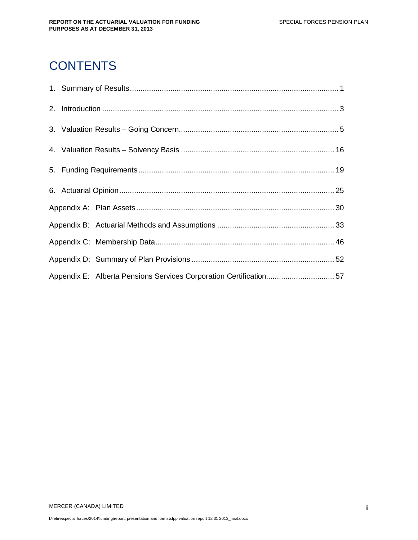# **CONTENTS**

|  | Appendix E: Alberta Pensions Services Corporation Certification57 |  |
|--|-------------------------------------------------------------------|--|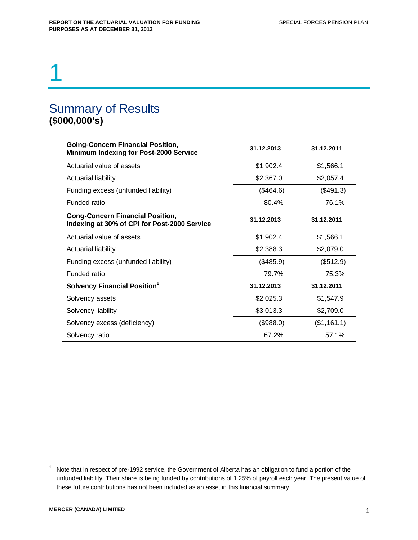# 1

# Summary of Results **(\$000,000's)**

| <b>Going-Concern Financial Position,</b><br><b>Minimum Indexing for Post-2000 Service</b> | 31.12.2013 | 31.12.2011  |
|-------------------------------------------------------------------------------------------|------------|-------------|
| Actuarial value of assets                                                                 | \$1,902.4  | \$1,566.1   |
| Actuarial liability                                                                       | \$2,367.0  | \$2,057.4   |
| Funding excess (unfunded liability)                                                       | (\$464.6)  | (\$491.3)   |
| Funded ratio                                                                              | 80.4%      | 76.1%       |
| <b>Gong-Concern Financial Position,</b><br>Indexing at 30% of CPI for Post-2000 Service   | 31.12.2013 | 31.12.2011  |
| Actuarial value of assets                                                                 | \$1,902.4  | \$1,566.1   |
| <b>Actuarial liability</b>                                                                | \$2,388.3  | \$2,079.0   |
| Funding excess (unfunded liability)                                                       | (\$485.9)  | (\$512.9)   |
| Funded ratio                                                                              | 79.7%      | 75.3%       |
| Solvency Financial Position <sup>1</sup>                                                  | 31.12.2013 | 31.12.2011  |
| Solvency assets                                                                           | \$2,025.3  | \$1,547.9   |
| Solvency liability                                                                        | \$3,013.3  | \$2,709.0   |
| Solvency excess (deficiency)                                                              | (\$988.0)  | (\$1,161.1) |
| Solvency ratio                                                                            | 67.2%      | 57.1%       |

<sup>1</sup> Note that in respect of pre-1992 service, the Government of Alberta has an obligation to fund a portion of the unfunded liability. Their share is being funded by contributions of 1.25% of payroll each year. The present value of these future contributions has not been included as an asset in this financial summary.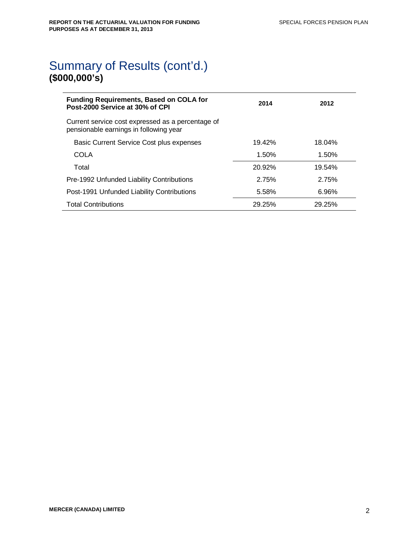# Summary of Results (cont'd.) **(\$000,000's)**

| Funding Requirements, Based on COLA for<br>Post-2000 Service at 30% of CPI                  | 2014   | 2012   |
|---------------------------------------------------------------------------------------------|--------|--------|
| Current service cost expressed as a percentage of<br>pensionable earnings in following year |        |        |
| Basic Current Service Cost plus expenses                                                    | 19.42% | 18.04% |
| COLA                                                                                        | 1.50%  | 1.50%  |
| Total                                                                                       | 20.92% | 19.54% |
| Pre-1992 Unfunded Liability Contributions                                                   | 2.75%  | 2.75%  |
| Post-1991 Unfunded Liability Contributions                                                  | 5.58%  | 6.96%  |
| <b>Total Contributions</b>                                                                  | 29.25% | 29.25% |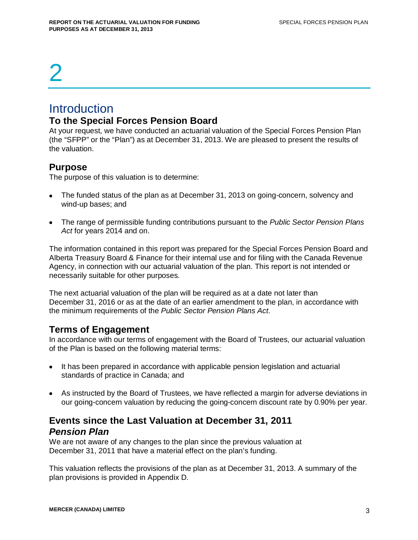# 2

# **Introduction**

## **To the Special Forces Pension Board**

At your request, we have conducted an actuarial valuation of the Special Forces Pension Plan (the "SFPP" or the "Plan") as at December 31, 2013. We are pleased to present the results of the valuation.

# **Purpose**

The purpose of this valuation is to determine:

- The funded status of the plan as at December 31, 2013 on going-concern, solvency and wind-up bases; and
- The range of permissible funding contributions pursuant to the *Public Sector Pension Plans Act* for years 2014 and on.

The information contained in this report was prepared for the Special Forces Pension Board and Alberta Treasury Board & Finance for their internal use and for filing with the Canada Revenue Agency, in connection with our actuarial valuation of the plan. This report is not intended or necessarily suitable for other purposes.

The next actuarial valuation of the plan will be required as at a date not later than December 31, 2016 or as at the date of an earlier amendment to the plan, in accordance with the minimum requirements of the *Public Sector Pension Plans Act*.

# **Terms of Engagement**

In accordance with our terms of engagement with the Board of Trustees, our actuarial valuation of the Plan is based on the following material terms:

- It has been prepared in accordance with applicable pension legislation and actuarial standards of practice in Canada; and
- As instructed by the Board of Trustees, we have reflected a margin for adverse deviations in our going-concern valuation by reducing the going-concern discount rate by 0.90% per year.

# **Events since the Last Valuation at December 31, 2011** *Pension Plan*

We are not aware of any changes to the plan since the previous valuation at December 31, 2011 that have a material effect on the plan's funding.

This valuation reflects the provisions of the plan as at December 31, 2013. A summary of the plan provisions is provided in Appendix D.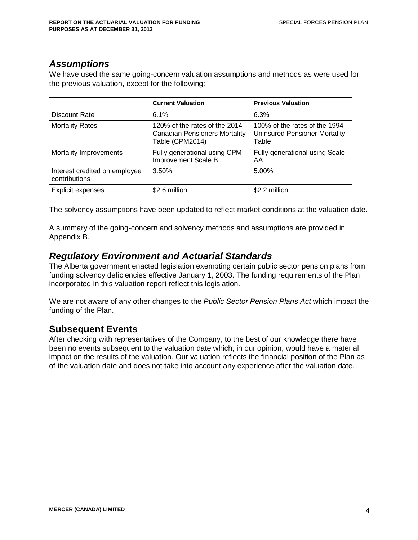## *Assumptions*

We have used the same going-concern valuation assumptions and methods as were used for the previous valuation, except for the following:

|                                                | <b>Current Valuation</b>                                                                 | <b>Previous Valuation</b>                                                      |
|------------------------------------------------|------------------------------------------------------------------------------------------|--------------------------------------------------------------------------------|
| Discount Rate                                  | 6.1%                                                                                     | 6.3%                                                                           |
| <b>Mortality Rates</b>                         | 120% of the rates of the 2014<br><b>Canadian Pensioners Mortality</b><br>Table (CPM2014) | 100% of the rates of the 1994<br><b>Uninsured Pensioner Mortality</b><br>Table |
| Mortality Improvements                         | Fully generational using CPM<br><b>Improvement Scale B</b>                               | Fully generational using Scale<br>AA                                           |
| Interest credited on employee<br>contributions | 3.50%                                                                                    | 5.00%                                                                          |
| Explicit expenses                              | \$2.6 million                                                                            | \$2.2 million                                                                  |

The solvency assumptions have been updated to reflect market conditions at the valuation date.

A summary of the going-concern and solvency methods and assumptions are provided in Appendix B.

# *Regulatory Environment and Actuarial Standards*

The Alberta government enacted legislation exempting certain public sector pension plans from funding solvency deficiencies effective January 1, 2003. The funding requirements of the Plan incorporated in this valuation report reflect this legislation.

We are not aware of any other changes to the *Public Sector Pension Plans Act* which impact the funding of the Plan.

# **Subsequent Events**

After checking with representatives of the Company, to the best of our knowledge there have been no events subsequent to the valuation date which, in our opinion, would have a material impact on the results of the valuation. Our valuation reflects the financial position of the Plan as of the valuation date and does not take into account any experience after the valuation date.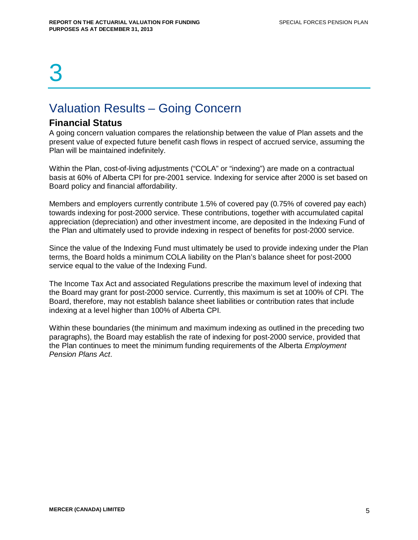# 3

# Valuation Results – Going Concern

## **Financial Status**

A going concern valuation compares the relationship between the value of Plan assets and the present value of expected future benefit cash flows in respect of accrued service, assuming the Plan will be maintained indefinitely.

Within the Plan, cost-of-living adjustments ("COLA" or "indexing") are made on a contractual basis at 60% of Alberta CPI for pre-2001 service. Indexing for service after 2000 is set based on Board policy and financial affordability.

Members and employers currently contribute 1.5% of covered pay (0.75% of covered pay each) towards indexing for post-2000 service. These contributions, together with accumulated capital appreciation (depreciation) and other investment income, are deposited in the Indexing Fund of the Plan and ultimately used to provide indexing in respect of benefits for post-2000 service.

Since the value of the Indexing Fund must ultimately be used to provide indexing under the Plan terms, the Board holds a minimum COLA liability on the Plan's balance sheet for post-2000 service equal to the value of the Indexing Fund.

The Income Tax Act and associated Regulations prescribe the maximum level of indexing that the Board may grant for post-2000 service. Currently, this maximum is set at 100% of CPI. The Board, therefore, may not establish balance sheet liabilities or contribution rates that include indexing at a level higher than 100% of Alberta CPI.

Within these boundaries (the minimum and maximum indexing as outlined in the preceding two paragraphs), the Board may establish the rate of indexing for post-2000 service, provided that the Plan continues to meet the minimum funding requirements of the Alberta *Employment Pension Plans Act*.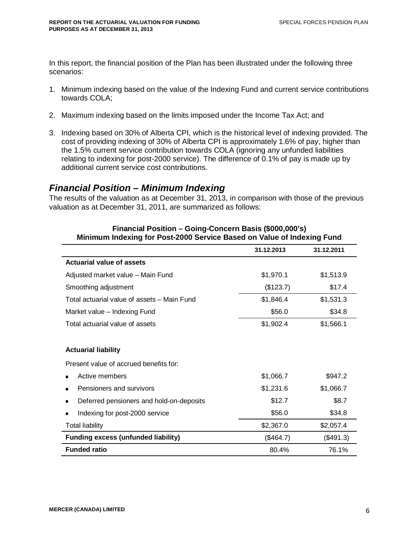In this report, the financial position of the Plan has been illustrated under the following three scenarios:

- 1. Minimum indexing based on the value of the Indexing Fund and current service contributions towards COLA;
- 2. Maximum indexing based on the limits imposed under the Income Tax Act; and
- 3. Indexing based on 30% of Alberta CPI, which is the historical level of indexing provided. The cost of providing indexing of 30% of Alberta CPI is approximately 1.6% of pay, higher than the 1.5% current service contribution towards COLA (ignoring any unfunded liabilities relating to indexing for post-2000 service). The difference of 0.1% of pay is made up by additional current service cost contributions.

## *Financial Position – Minimum Indexing*

The results of the valuation as at December 31, 2013, in comparison with those of the previous valuation as at December 31, 2011, are summarized as follows:

| <u>Militilium indexing for Post-Zuuv Service Based on value of indexing Pund</u> |            |            |  |
|----------------------------------------------------------------------------------|------------|------------|--|
|                                                                                  | 31.12.2013 | 31.12.2011 |  |
| <b>Actuarial value of assets</b>                                                 |            |            |  |
| Adjusted market value - Main Fund                                                | \$1,970.1  | \$1,513.9  |  |
| Smoothing adjustment                                                             | (\$123.7)  | \$17.4     |  |
| Total actuarial value of assets - Main Fund                                      | \$1,846.4  | \$1,531.3  |  |
| Market value - Indexing Fund                                                     | \$56.0     | \$34.8     |  |
| Total actuarial value of assets                                                  | \$1,902.4  | \$1,566.1  |  |
|                                                                                  |            |            |  |
| <b>Actuarial liability</b>                                                       |            |            |  |
| Present value of accrued benefits for:                                           |            |            |  |
| Active members                                                                   | \$1,066.7  | \$947.2    |  |
| Pensioners and survivors                                                         | \$1,231.6  | \$1,066.7  |  |
| Deferred pensioners and hold-on-deposits                                         | \$12.7     | \$8.7      |  |
| Indexing for post-2000 service<br>٠                                              | \$56.0     | \$34.8     |  |
| <b>Total liability</b>                                                           | \$2,367.0  | \$2,057.4  |  |
| <b>Funding excess (unfunded liability)</b>                                       | (\$464.7)  | (\$491.3)  |  |
| <b>Funded ratio</b>                                                              | 80.4%      | 76.1%      |  |

#### **Financial Position – Going-Concern Basis (\$000,000's) Minimum Indexing for Post-2000 Service Based on Value of Indexing Fund**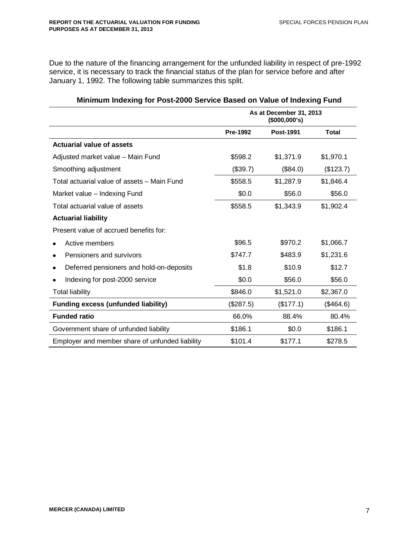Due to the nature of the financing arrangement for the unfunded liability in respect of pre-1992 service, it is necessary to track the financial status of the plan for service before and after January 1, 1992. The following table summarizes this split.

|                                                 | As at December 31, 2013<br>(\$000,000's) |           |           |
|-------------------------------------------------|------------------------------------------|-----------|-----------|
|                                                 | <b>Pre-1992</b>                          | Post-1991 | Total     |
| <b>Actuarial value of assets</b>                |                                          |           |           |
| Adjusted market value - Main Fund               | \$598.2                                  | \$1,371.9 | \$1,970.1 |
| Smoothing adjustment                            | (\$39.7)                                 | (\$84.0)  | (\$123.7) |
| Total actuarial value of assets - Main Fund     | \$558.5                                  | \$1,287.9 | \$1,846.4 |
| Market value - Indexing Fund                    | \$0.0                                    | \$56.0    | \$56.0    |
| Total actuarial value of assets                 | \$558.5                                  | \$1,343.9 | \$1,902.4 |
| <b>Actuarial liability</b>                      |                                          |           |           |
| Present value of accrued benefits for:          |                                          |           |           |
| Active members                                  | \$96.5                                   | \$970.2   | \$1,066.7 |
| Pensioners and survivors                        | \$747.7                                  | \$483.9   | \$1,231.6 |
| Deferred pensioners and hold-on-deposits        | \$1.8                                    | \$10.9    | \$12.7    |
| Indexing for post-2000 service                  | \$0.0                                    | \$56.0    | \$56.0    |
| Total liability                                 | \$846.0                                  | \$1,521.0 | \$2,367.0 |
| <b>Funding excess (unfunded liability)</b>      | (\$287.5)                                | (\$177.1) | (\$464.6) |
| <b>Funded ratio</b>                             | 66.0%                                    | 88.4%     | 80.4%     |
| Government share of unfunded liability          | \$186.1                                  | \$0.0     | \$186.1   |
| Employer and member share of unfunded liability | \$101.4                                  | \$177.1   | \$278.5   |

### **Minimum Indexing for Post-2000 Service Based on Value of Indexing Fund**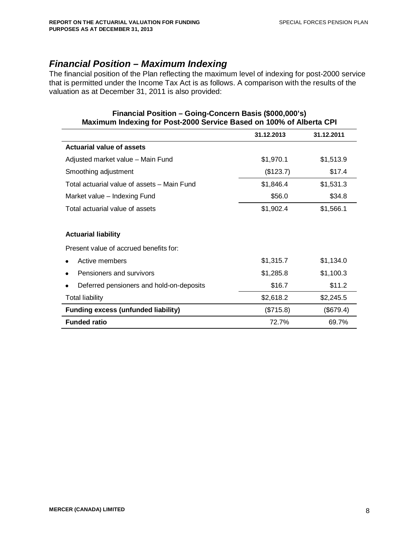## *Financial Position – Maximum Indexing*

The financial position of the Plan reflecting the maximum level of indexing for post-2000 service that is permitted under the Income Tax Act is as follows. A comparison with the results of the valuation as at December 31, 2011 is also provided:

| <u>MAAIIHUIH IIIUCAIHU IUI I USL-LUUU JEI VILE DASEU UII TUU 70 UI AINEITA UI I</u> |            |            |  |  |
|-------------------------------------------------------------------------------------|------------|------------|--|--|
|                                                                                     | 31.12.2013 | 31.12.2011 |  |  |
| <b>Actuarial value of assets</b>                                                    |            |            |  |  |
| Adjusted market value - Main Fund                                                   | \$1,970.1  | \$1,513.9  |  |  |
| Smoothing adjustment                                                                | (\$123.7)  | \$17.4     |  |  |
| Total actuarial value of assets - Main Fund                                         | \$1,846.4  | \$1,531.3  |  |  |
| Market value - Indexing Fund                                                        | \$56.0     | \$34.8     |  |  |
| Total actuarial value of assets                                                     | \$1,902.4  | \$1,566.1  |  |  |
|                                                                                     |            |            |  |  |
| <b>Actuarial liability</b>                                                          |            |            |  |  |
| Present value of accrued benefits for:                                              |            |            |  |  |
| Active members                                                                      | \$1,315.7  | \$1,134.0  |  |  |
| Pensioners and survivors                                                            | \$1,285.8  | \$1,100.3  |  |  |
| Deferred pensioners and hold-on-deposits                                            | \$16.7     | \$11.2     |  |  |
| <b>Total liability</b>                                                              | \$2,618.2  | \$2,245.5  |  |  |
| <b>Funding excess (unfunded liability)</b>                                          | (\$715.8)  | (\$679.4)  |  |  |
| <b>Funded ratio</b>                                                                 | 72.7%      | 69.7%      |  |  |

#### **Financial Position – Going-Concern Basis (\$000,000's) Maximum Indexing for Post-2000 Service Based on 100% of Alberta CPI**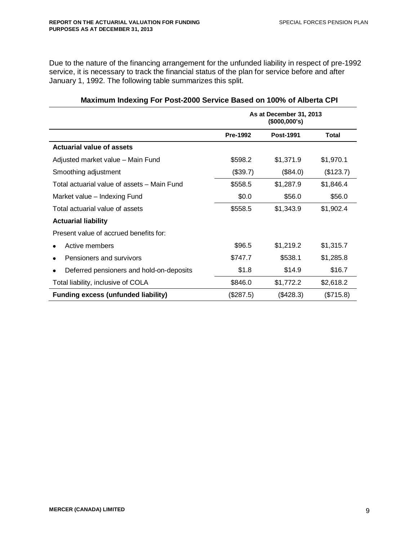Due to the nature of the financing arrangement for the unfunded liability in respect of pre-1992 service, it is necessary to track the financial status of the plan for service before and after January 1, 1992. The following table summarizes this split.

|                                             | As at December 31, 2013<br>(\$000,000's) |                  |           |
|---------------------------------------------|------------------------------------------|------------------|-----------|
|                                             | Pre-1992                                 | <b>Post-1991</b> | Total     |
| <b>Actuarial value of assets</b>            |                                          |                  |           |
| Adjusted market value - Main Fund           | \$598.2                                  | \$1,371.9        | \$1,970.1 |
| Smoothing adjustment                        | (\$39.7)                                 | (\$84.0)         | (\$123.7) |
| Total actuarial value of assets - Main Fund | \$558.5                                  | \$1,287.9        | \$1,846.4 |
| Market value - Indexing Fund                | \$0.0                                    | \$56.0           | \$56.0    |
| Total actuarial value of assets             | \$558.5                                  | \$1,343.9        | \$1,902.4 |
| <b>Actuarial liability</b>                  |                                          |                  |           |
| Present value of accrued benefits for:      |                                          |                  |           |
| Active members                              | \$96.5                                   | \$1,219.2        | \$1,315.7 |
| Pensioners and survivors                    | \$747.7                                  | \$538.1          | \$1,285.8 |
| Deferred pensioners and hold-on-deposits    | \$1.8                                    | \$14.9           | \$16.7    |
| Total liability, inclusive of COLA          | \$846.0                                  | \$1,772.2        | \$2,618.2 |
| <b>Funding excess (unfunded liability)</b>  | (\$287.5)                                | (\$428.3)        | (\$715.8) |

### **Maximum Indexing For Post-2000 Service Based on 100% of Alberta CPI**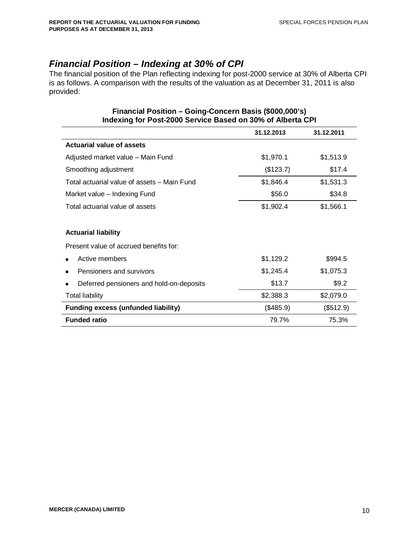## *Financial Position – Indexing at 30% of CPI*

The financial position of the Plan reflecting indexing for post-2000 service at 30% of Alberta CPI is as follows. A comparison with the results of the valuation as at December 31, 2011 is also provided:

|                                             | 31.12.2013 | 31.12.2011 |
|---------------------------------------------|------------|------------|
| <b>Actuarial value of assets</b>            |            |            |
| Adjusted market value - Main Fund           | \$1,970.1  | \$1,513.9  |
| Smoothing adjustment                        | (\$123.7)  | \$17.4     |
| Total actuarial value of assets - Main Fund | \$1,846.4  | \$1,531.3  |
| Market value - Indexing Fund                | \$56.0     | \$34.8     |
| Total actuarial value of assets             | \$1,902.4  | \$1,566.1  |
|                                             |            |            |
| <b>Actuarial liability</b>                  |            |            |
| Present value of accrued benefits for:      |            |            |
| Active members                              | \$1,129.2  | \$994.5    |
| Pensioners and survivors                    | \$1,245.4  | \$1,075.3  |
| Deferred pensioners and hold-on-deposits    | \$13.7     | \$9.2      |
| <b>Total liability</b>                      | \$2,388.3  | \$2,079.0  |
| <b>Funding excess (unfunded liability)</b>  | (\$485.9)  | (\$512.9)  |
| <b>Funded ratio</b>                         | 79.7%      | 75.3%      |

#### **Financial Position – Going-Concern Basis (\$000,000's) Indexing for Post-2000 Service Based on 30% of Alberta CPI**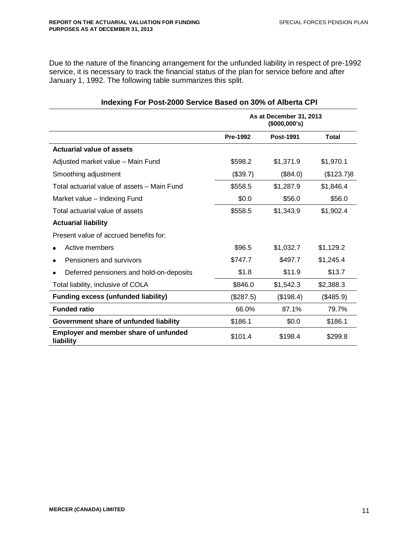Due to the nature of the financing arrangement for the unfunded liability in respect of pre-1992 service, it is necessary to track the financial status of the plan for service before and after January 1, 1992. The following table summarizes this split.

|                                                    | As at December 31, 2013<br>(\$000,000's) |                  |            |
|----------------------------------------------------|------------------------------------------|------------------|------------|
|                                                    | <b>Pre-1992</b>                          | <b>Post-1991</b> | Total      |
| <b>Actuarial value of assets</b>                   |                                          |                  |            |
| Adjusted market value - Main Fund                  | \$598.2                                  | \$1,371.9        | \$1,970.1  |
| Smoothing adjustment                               | (\$39.7)                                 | (\$84.0)         | (\$123.7)8 |
| Total actuarial value of assets - Main Fund        | \$558.5                                  | \$1,287.9        | \$1,846.4  |
| Market value - Indexing Fund                       | \$0.0                                    | \$56.0           | \$56.0     |
| Total actuarial value of assets                    | \$558.5                                  | \$1,343.9        | \$1,902.4  |
| <b>Actuarial liability</b>                         |                                          |                  |            |
| Present value of accrued benefits for:             |                                          |                  |            |
| Active members                                     | \$96.5                                   | \$1,032.7        | \$1,129.2  |
| Pensioners and survivors                           | \$747.7                                  | \$497.7          | \$1,245.4  |
| Deferred pensioners and hold-on-deposits           | \$1.8                                    | \$11.9           | \$13.7     |
| Total liability, inclusive of COLA                 | \$846.0                                  | \$1,542.3        | \$2,388.3  |
| <b>Funding excess (unfunded liability)</b>         | (\$287.5)                                | (\$198.4)        | (\$485.9)  |
| <b>Funded ratio</b>                                | 66.0%                                    | 87.1%            | 79.7%      |
| Government share of unfunded liability             | \$186.1                                  | \$0.0            | \$186.1    |
| Employer and member share of unfunded<br>liability | \$101.4                                  | \$198.4          | \$299.8    |

### **Indexing For Post-2000 Service Based on 30% of Alberta CPI**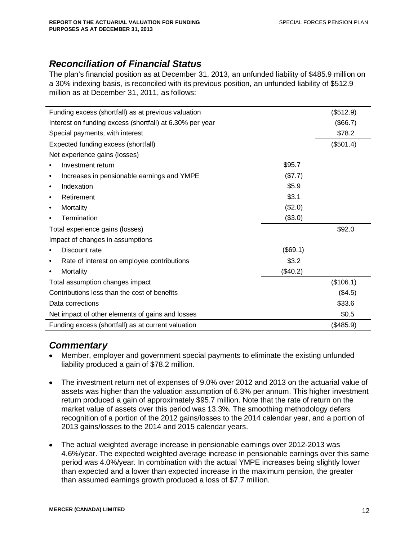# *Reconciliation of Financial Status*

The plan's financial position as at December 31, 2013, an unfunded liability of \$485.9 million on a 30% indexing basis, is reconciled with its previous position, an unfunded liability of \$512.9 million as at December 31, 2011, as follows:

|           | Funding excess (shortfall) as at previous valuation      |          | (\$512.9) |
|-----------|----------------------------------------------------------|----------|-----------|
|           | Interest on funding excess (shortfall) at 6.30% per year |          | (\$66.7)  |
|           | Special payments, with interest                          |          | \$78.2    |
|           | Expected funding excess (shortfall)                      |          | (\$501.4) |
|           | Net experience gains (losses)                            |          |           |
|           | Investment return                                        | \$95.7   |           |
| $\bullet$ | Increases in pensionable earnings and YMPE               | (\$7.7)  |           |
| $\bullet$ | Indexation                                               | \$5.9    |           |
| ٠         | Retirement                                               | \$3.1    |           |
| ٠         | Mortality                                                | (\$2.0)  |           |
|           | Termination                                              | (\$3.0)  |           |
|           | Total experience gains (losses)                          |          | \$92.0    |
|           | Impact of changes in assumptions                         |          |           |
|           | Discount rate                                            | (\$69.1) |           |
| ٠         | Rate of interest on employee contributions               | \$3.2    |           |
| ٠         | Mortality                                                | (\$40.2) |           |
|           | Total assumption changes impact                          |          | (\$106.1) |
|           | Contributions less than the cost of benefits             |          | (\$4.5)   |
|           | Data corrections                                         |          | \$33.6    |
|           | Net impact of other elements of gains and losses         |          | \$0.5     |
|           | Funding excess (shortfall) as at current valuation       |          | (\$485.9) |
|           |                                                          |          |           |

# *Commentary*

- Member, employer and government special payments to eliminate the existing unfunded liability produced a gain of \$78.2 million.
- The investment return net of expenses of 9.0% over 2012 and 2013 on the actuarial value of assets was higher than the valuation assumption of 6.3% per annum. This higher investment return produced a gain of approximately \$95.7 million. Note that the rate of return on the market value of assets over this period was 13.3%. The smoothing methodology defers recognition of a portion of the 2012 gains/losses to the 2014 calendar year, and a portion of 2013 gains/losses to the 2014 and 2015 calendar years.
- The actual weighted average increase in pensionable earnings over 2012-2013 was 4.6%/year. The expected weighted average increase in pensionable earnings over this same period was 4.0%/year. In combination with the actual YMPE increases being slightly lower than expected and a lower than expected increase in the maximum pension, the greater than assumed earnings growth produced a loss of \$7.7 million.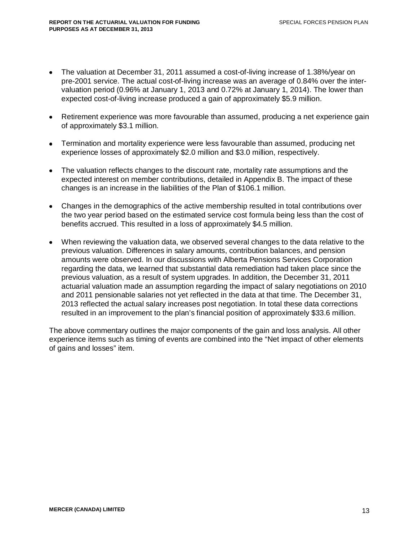- The valuation at December 31, 2011 assumed a cost-of-living increase of 1.38%/year on pre-2001 service. The actual cost-of-living increase was an average of 0.84% over the intervaluation period (0.96% at January 1, 2013 and 0.72% at January 1, 2014). The lower than expected cost-of-living increase produced a gain of approximately \$5.9 million.
- Retirement experience was more favourable than assumed, producing a net experience gain of approximately \$3.1 million.
- Termination and mortality experience were less favourable than assumed, producing net experience losses of approximately \$2.0 million and \$3.0 million, respectively.
- The valuation reflects changes to the discount rate, mortality rate assumptions and the expected interest on member contributions, detailed in Appendix B. The impact of these changes is an increase in the liabilities of the Plan of \$106.1 million.
- Changes in the demographics of the active membership resulted in total contributions over the two year period based on the estimated service cost formula being less than the cost of benefits accrued. This resulted in a loss of approximately \$4.5 million.
- When reviewing the valuation data, we observed several changes to the data relative to the previous valuation. Differences in salary amounts, contribution balances, and pension amounts were observed. In our discussions with Alberta Pensions Services Corporation regarding the data, we learned that substantial data remediation had taken place since the previous valuation, as a result of system upgrades. In addition, the December 31, 2011 actuarial valuation made an assumption regarding the impact of salary negotiations on 2010 and 2011 pensionable salaries not yet reflected in the data at that time. The December 31, 2013 reflected the actual salary increases post negotiation. In total these data corrections resulted in an improvement to the plan's financial position of approximately \$33.6 million.

The above commentary outlines the major components of the gain and loss analysis. All other experience items such as timing of events are combined into the "Net impact of other elements of gains and losses" item.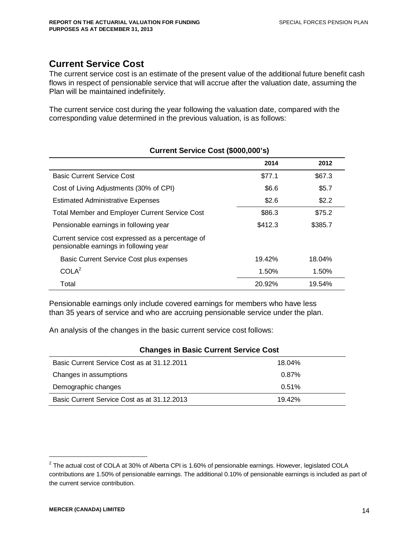# **Current Service Cost**

The current service cost is an estimate of the present value of the additional future benefit cash flows in respect of pensionable service that will accrue after the valuation date, assuming the Plan will be maintained indefinitely.

The current service cost during the year following the valuation date, compared with the corresponding value determined in the previous valuation, is as follows:

|                                                                                             | 2014    | 2012    |
|---------------------------------------------------------------------------------------------|---------|---------|
| <b>Basic Current Service Cost</b>                                                           | \$77.1  | \$67.3  |
| Cost of Living Adjustments (30% of CPI)                                                     | \$6.6   | \$5.7   |
| <b>Estimated Administrative Expenses</b>                                                    | \$2.6   | \$2.2   |
| <b>Total Member and Employer Current Service Cost</b>                                       | \$86.3  | \$75.2  |
| Pensionable earnings in following year                                                      | \$412.3 | \$385.7 |
| Current service cost expressed as a percentage of<br>pensionable earnings in following year |         |         |
| Basic Current Service Cost plus expenses                                                    | 19.42%  | 18.04%  |
| COLA <sup>2</sup>                                                                           | 1.50%   | 1.50%   |
| Total                                                                                       | 20.92%  | 19.54%  |

#### **Current Service Cost (\$000,000's)**

Pensionable earnings only include covered earnings for members who have less than 35 years of service and who are accruing pensionable service under the plan.

An analysis of the changes in the basic current service cost follows:

| Changes in Basic Current Service Cost       |        |  |  |  |
|---------------------------------------------|--------|--|--|--|
| Basic Current Service Cost as at 31.12.2011 | 18.04% |  |  |  |
| Changes in assumptions                      | 0.87%  |  |  |  |
| Demographic changes                         | 0.51%  |  |  |  |
| Basic Current Service Cost as at 31.12.2013 | 19.42% |  |  |  |

## **Changes in Basic Current Service Cost**

 $^2$  The actual cost of COLA at 30% of Alberta CPI is 1.60% of pensionable earnings. However, legislated COLA contributions are 1.50% of pensionable earnings. The additional 0.10% of pensionable earnings is included as part of the current service contribution.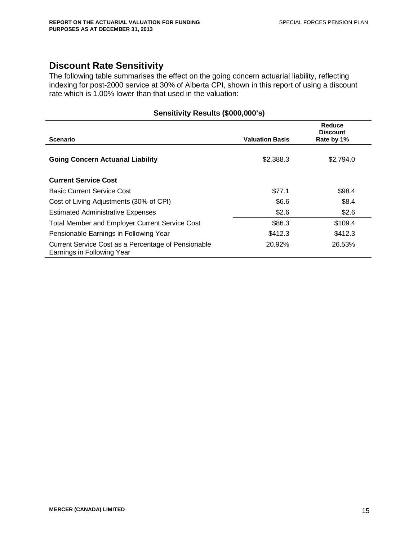# **Discount Rate Sensitivity**

The following table summarises the effect on the going concern actuarial liability, reflecting indexing for post-2000 service at 30% of Alberta CPI, shown in this report of using a discount rate which is 1.00% lower than that used in the valuation:

| Scenario                                                                          | <b>Valuation Basis</b> | Reduce<br><b>Discount</b><br>Rate by 1% |
|-----------------------------------------------------------------------------------|------------------------|-----------------------------------------|
| <b>Going Concern Actuarial Liability</b>                                          | \$2,388.3              | \$2,794.0                               |
| <b>Current Service Cost</b>                                                       |                        |                                         |
| <b>Basic Current Service Cost</b>                                                 | \$77.1                 | \$98.4                                  |
| Cost of Living Adjustments (30% of CPI)                                           | \$6.6                  | \$8.4                                   |
| <b>Estimated Administrative Expenses</b>                                          | \$2.6                  | \$2.6                                   |
| <b>Total Member and Employer Current Service Cost</b>                             | \$86.3                 | \$109.4                                 |
| Pensionable Earnings in Following Year                                            | \$412.3                | \$412.3                                 |
| Current Service Cost as a Percentage of Pensionable<br>Earnings in Following Year | 20.92%                 | 26.53%                                  |

#### **Sensitivity Results (\$000,000's)**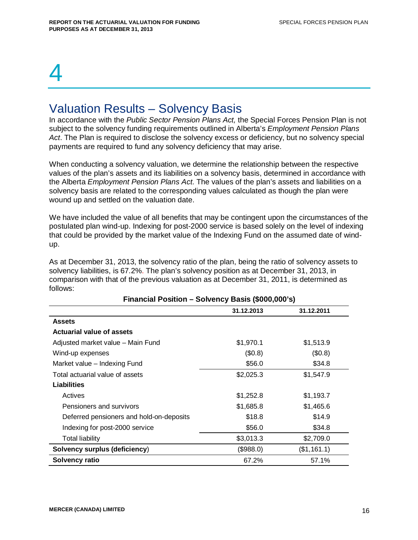# 4

# Valuation Results – Solvency Basis

In accordance with the *Public Sector Pension Plans Act,* the Special Forces Pension Plan is not subject to the solvency funding requirements outlined in Alberta's *Employment Pension Plans Act*. The Plan is required to disclose the solvency excess or deficiency, but no solvency special payments are required to fund any solvency deficiency that may arise.

When conducting a solvency valuation, we determine the relationship between the respective values of the plan's assets and its liabilities on a solvency basis, determined in accordance with the Alberta *Employment Pension Plans Act*. The values of the plan's assets and liabilities on a solvency basis are related to the corresponding values calculated as though the plan were wound up and settled on the valuation date.

We have included the value of all benefits that may be contingent upon the circumstances of the postulated plan wind-up. Indexing for post-2000 service is based solely on the level of indexing that could be provided by the market value of the Indexing Fund on the assumed date of windup.

As at December 31, 2013, the solvency ratio of the plan, being the ratio of solvency assets to solvency liabilities, is 67.2%. The plan's solvency position as at December 31, 2013, in comparison with that of the previous valuation as at December 31, 2011, is determined as follows:

|                                          | 1.1        |             |
|------------------------------------------|------------|-------------|
|                                          | 31.12.2013 | 31.12.2011  |
| <b>Assets</b>                            |            |             |
| <b>Actuarial value of assets</b>         |            |             |
| Adjusted market value - Main Fund        | \$1,970.1  | \$1,513.9   |
| Wind-up expenses                         | (\$0.8)    | (\$0.8)     |
| Market value - Indexing Fund             | \$56.0     | \$34.8      |
| Total actuarial value of assets          | \$2,025.3  | \$1,547.9   |
| Liabilities                              |            |             |
| Actives                                  | \$1,252.8  | \$1,193.7   |
| Pensioners and survivors                 | \$1,685.8  | \$1,465.6   |
| Deferred pensioners and hold-on-deposits | \$18.8     | \$14.9      |
| Indexing for post-2000 service           | \$56.0     | \$34.8      |
| Total liability                          | \$3,013.3  | \$2,709.0   |
| Solvency surplus (deficiency)            | (\$988.0)  | (\$1,161.1) |
| Solvency ratio                           | 67.2%      | 57.1%       |

#### **Financial Position – Solvency Basis (\$000,000's)**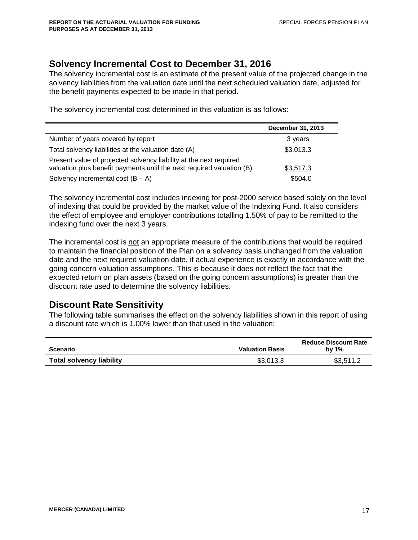# **Solvency Incremental Cost to December 31, 2016**

The solvency incremental cost is an estimate of the present value of the projected change in the solvency liabilities from the valuation date until the next scheduled valuation date, adjusted for the benefit payments expected to be made in that period.

The solvency incremental cost determined in this valuation is as follows:

|                                                                                                                                             | December 31, 2013 |
|---------------------------------------------------------------------------------------------------------------------------------------------|-------------------|
| Number of years covered by report                                                                                                           | 3 years           |
| Total solvency liabilities at the valuation date (A)                                                                                        | \$3,013.3         |
| Present value of projected solvency liability at the next required<br>valuation plus benefit payments until the next required valuation (B) | \$3,517.3         |
| Solvency incremental cost $(B - A)$                                                                                                         | \$504.0           |

The solvency incremental cost includes indexing for post-2000 service based solely on the level of indexing that could be provided by the market value of the Indexing Fund. It also considers the effect of employee and employer contributions totalling 1.50% of pay to be remitted to the indexing fund over the next 3 years.

The incremental cost is not an appropriate measure of the contributions that would be required to maintain the financial position of the Plan on a solvency basis unchanged from the valuation date and the next required valuation date, if actual experience is exactly in accordance with the going concern valuation assumptions. This is because it does not reflect the fact that the expected return on plan assets (based on the going concern assumptions) is greater than the discount rate used to determine the solvency liabilities.

# **Discount Rate Sensitivity**

The following table summarises the effect on the solvency liabilities shown in this report of using a discount rate which is 1.00% lower than that used in the valuation:

| <b>Scenario</b>                 | <b>Valuation Basis</b> | <b>Reduce Discount Rate</b><br>by $1\%$ |
|---------------------------------|------------------------|-----------------------------------------|
| <b>Total solvency liability</b> | \$3,013.3              | \$3,511.2                               |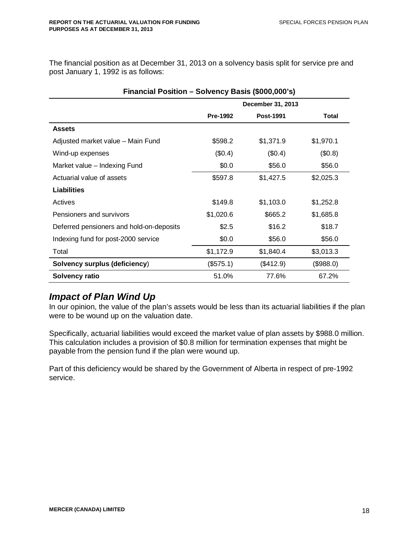The financial position as at December 31, 2013 on a solvency basis split for service pre and post January 1, 1992 is as follows:

| Financial Position - Solvency Basis (\$000,000's) |                 |                   |           |  |  |  |
|---------------------------------------------------|-----------------|-------------------|-----------|--|--|--|
|                                                   |                 | December 31, 2013 |           |  |  |  |
|                                                   | <b>Pre-1992</b> | <b>Post-1991</b>  | Total     |  |  |  |
| <b>Assets</b>                                     |                 |                   |           |  |  |  |
| Adjusted market value - Main Fund                 | \$598.2         | \$1,371.9         | \$1,970.1 |  |  |  |
| Wind-up expenses                                  | (\$0.4)         | (\$0.4)           | (\$0.8)   |  |  |  |
| Market value - Indexing Fund                      | \$0.0           | \$56.0            | \$56.0    |  |  |  |
| Actuarial value of assets                         | \$597.8         | \$1,427.5         | \$2,025.3 |  |  |  |
| <b>Liabilities</b>                                |                 |                   |           |  |  |  |
| Actives                                           | \$149.8         | \$1,103.0         | \$1,252.8 |  |  |  |
| Pensioners and survivors                          | \$1,020.6       | \$665.2           | \$1,685.8 |  |  |  |
| Deferred pensioners and hold-on-deposits          | \$2.5           | \$16.2            | \$18.7    |  |  |  |
| Indexing fund for post-2000 service               | \$0.0           | \$56.0            | \$56.0    |  |  |  |
| Total                                             | \$1,172.9       | \$1,840.4         | \$3,013.3 |  |  |  |
| <b>Solvency surplus (deficiency)</b>              | (\$575.1)       | (\$412.9)         | (\$988.0) |  |  |  |
| Solvency ratio                                    | 51.0%           | 77.6%             | 67.2%     |  |  |  |

# *Impact of Plan Wind Up*

In our opinion, the value of the plan's assets would be less than its actuarial liabilities if the plan were to be wound up on the valuation date.

Specifically, actuarial liabilities would exceed the market value of plan assets by \$988.0 million. This calculation includes a provision of \$0.8 million for termination expenses that might be payable from the pension fund if the plan were wound up.

Part of this deficiency would be shared by the Government of Alberta in respect of pre-1992 service.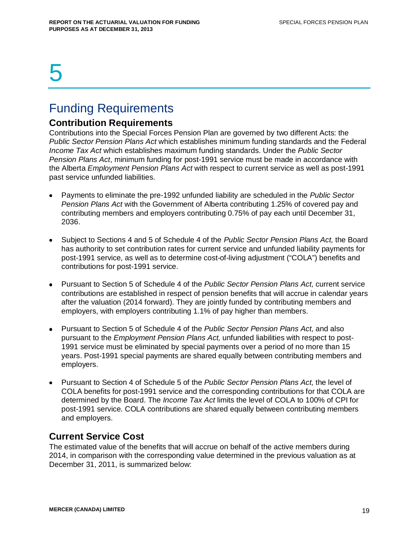# 5

# Funding Requirements

# **Contribution Requirements**

Contributions into the Special Forces Pension Plan are governed by two different Acts: the *Public Sector Pension Plans Act* which establishes minimum funding standards and the Federal *Income Tax Act* which establishes maximum funding standards. Under the *Public Sector Pension Plans Act*, minimum funding for post-1991 service must be made in accordance with the Alberta *Employment Pension Plans Act* with respect to current service as well as post-1991 past service unfunded liabilities.

- Payments to eliminate the pre-1992 unfunded liability are scheduled in the *Public Sector Pension Plans Act* with the Government of Alberta contributing 1.25% of covered pay and contributing members and employers contributing 0.75% of pay each until December 31, 2036.
- Subject to Sections 4 and 5 of Schedule 4 of the *Public Sector Pension Plans Act,* the Board has authority to set contribution rates for current service and unfunded liability payments for post-1991 service, as well as to determine cost-of-living adjustment ("COLA") benefits and contributions for post-1991 service.
- Pursuant to Section 5 of Schedule 4 of the *Public Sector Pension Plans Act,* current service contributions are established in respect of pension benefits that will accrue in calendar years after the valuation (2014 forward). They are jointly funded by contributing members and employers, with employers contributing 1.1% of pay higher than members.
- Pursuant to Section 5 of Schedule 4 of the *Public Sector Pension Plans Act,* and also pursuant to the *Employment Pension Plans Act,* unfunded liabilities with respect to post-1991 service must be eliminated by special payments over a period of no more than 15 years. Post-1991 special payments are shared equally between contributing members and employers.
- Pursuant to Section 4 of Schedule 5 of the *Public Sector Pension Plans Act,* the level of COLA benefits for post-1991 service and the corresponding contributions for that COLA are determined by the Board. The *Income Tax Act* limits the level of COLA to 100% of CPI for post-1991 service. COLA contributions are shared equally between contributing members and employers.

# **Current Service Cost**

The estimated value of the benefits that will accrue on behalf of the active members during 2014, in comparison with the corresponding value determined in the previous valuation as at December 31, 2011, is summarized below: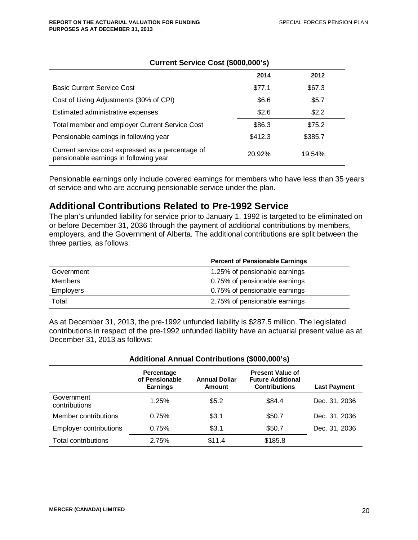|                                                                                             | 2014    | 2012    |
|---------------------------------------------------------------------------------------------|---------|---------|
| <b>Basic Current Service Cost</b>                                                           | \$77.1  | \$67.3  |
| Cost of Living Adjustments (30% of CPI)                                                     | \$6.6   | \$5.7   |
| Estimated administrative expenses                                                           | \$2.6   | \$2.2   |
| Total member and employer Current Service Cost                                              | \$86.3  | \$75.2  |
| Pensionable earnings in following year                                                      | \$412.3 | \$385.7 |
| Current service cost expressed as a percentage of<br>pensionable earnings in following year | 20.92%  | 19.54%  |

#### **Current Service Cost (\$000,000's)**

Pensionable earnings only include covered earnings for members who have less than 35 years of service and who are accruing pensionable service under the plan.

### **Additional Contributions Related to Pre-1992 Service**

The plan's unfunded liability for service prior to January 1, 1992 is targeted to be eliminated on or before December 31, 2036 through the payment of additional contributions by members, employers, and the Government of Alberta. The additional contributions are split between the three parties, as follows:

|                  | <b>Percent of Pensionable Earnings</b> |
|------------------|----------------------------------------|
| Government       | 1.25% of pensionable earnings          |
| <b>Members</b>   | 0.75% of pensionable earnings          |
| <b>Employers</b> | 0.75% of pensionable earnings          |
| Total            | 2.75% of pensionable earnings          |

As at December 31, 2013, the pre-1992 unfunded liability is \$287.5 million. The legislated contributions in respect of the pre-1992 unfunded liability have an actuarial present value as at December 31, 2013 as follows:

| Additional Annual Contributions (\$000,000's) |                                                 |                                       |                                                                             |                     |  |  |
|-----------------------------------------------|-------------------------------------------------|---------------------------------------|-----------------------------------------------------------------------------|---------------------|--|--|
|                                               | Percentage<br>of Pensionable<br><b>Earnings</b> | <b>Annual Dollar</b><br><b>Amount</b> | <b>Present Value of</b><br><b>Future Additional</b><br><b>Contributions</b> | <b>Last Payment</b> |  |  |
| Government<br>contributions                   | 1.25%                                           | \$5.2                                 | \$84.4                                                                      | Dec. 31, 2036       |  |  |
| Member contributions                          | 0.75%                                           | \$3.1                                 | \$50.7                                                                      | Dec. 31, 2036       |  |  |
| <b>Employer contributions</b>                 | 0.75%                                           | \$3.1                                 | \$50.7                                                                      | Dec. 31, 2036       |  |  |
| Total contributions                           | 2.75%                                           | \$11.4                                | \$185.8                                                                     |                     |  |  |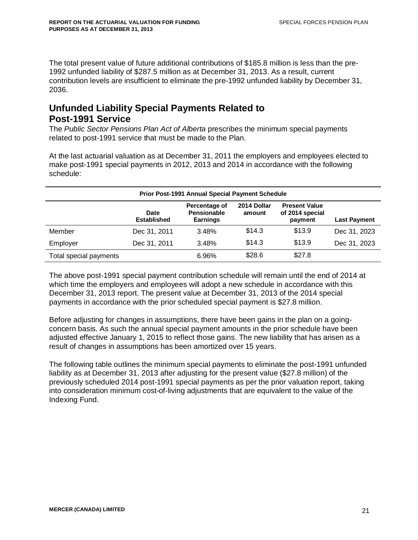The total present value of future additional contributions of \$185.8 million is less than the pre-1992 unfunded liability of \$287.5 million as at December 31, 2013. As a result, current contribution levels are insufficient to eliminate the pre-1992 unfunded liability by December 31, 2036.

# **Unfunded Liability Special Payments Related to Post-1991 Service**

The *Public Sector Pensions Plan Act of Alberta* prescribes the minimum special payments related to post-1991 service that must be made to the Plan.

At the last actuarial valuation as at December 31, 2011 the employers and employees elected to make post-1991 special payments in 2012, 2013 and 2014 in accordance with the following schedule:

| <b>Prior Post-1991 Annual Special Payment Schedule</b> |                     |       |        |        |              |
|--------------------------------------------------------|---------------------|-------|--------|--------|--------------|
|                                                        | <b>Last Payment</b> |       |        |        |              |
| Member                                                 | Dec 31, 2011        | 3.48% | \$14.3 | \$13.9 | Dec 31, 2023 |
| Employer                                               | Dec 31, 2011        | 3.48% | \$14.3 | \$13.9 | Dec 31, 2023 |
| Total special payments                                 |                     | 6.96% | \$28.6 | \$27.8 |              |

The above post-1991 special payment contribution schedule will remain until the end of 2014 at which time the employers and employees will adopt a new schedule in accordance with this December 31, 2013 report. The present value at December 31, 2013 of the 2014 special payments in accordance with the prior scheduled special payment is \$27.8 million.

Before adjusting for changes in assumptions, there have been gains in the plan on a goingconcern basis. As such the annual special payment amounts in the prior schedule have been adjusted effective January 1, 2015 to reflect those gains. The new liability that has arisen as a result of changes in assumptions has been amortized over 15 years.

The following table outlines the minimum special payments to eliminate the post-1991 unfunded liability as at December 31, 2013 after adjusting for the present value (\$27.8 million) of the previously scheduled 2014 post-1991 special payments as per the prior valuation report, taking into consideration minimum cost-of-living adjustments that are equivalent to the value of the Indexing Fund.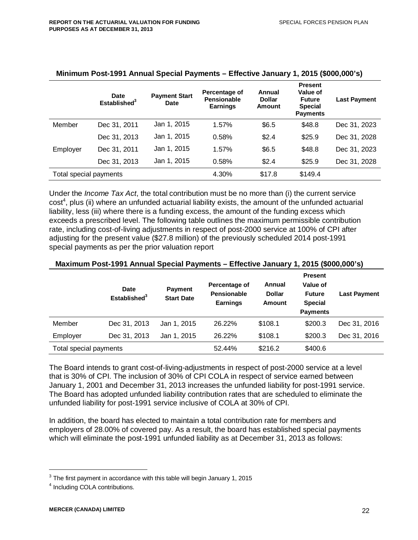|                        | <b>Date</b><br>Established <sup>3</sup> | <b>Payment Start</b><br>Date | Percentage of<br>Pensionable<br><b>Earnings</b> | Annual<br><b>Dollar</b><br>Amount | <b>Present</b><br>Value of<br><b>Future</b><br><b>Special</b><br><b>Payments</b> | <b>Last Payment</b> |
|------------------------|-----------------------------------------|------------------------------|-------------------------------------------------|-----------------------------------|----------------------------------------------------------------------------------|---------------------|
| Member                 | Dec 31, 2011                            | Jan 1, 2015                  | 1.57%                                           | \$6.5                             | \$48.8                                                                           | Dec 31, 2023        |
|                        | Dec 31, 2013                            | Jan 1, 2015                  | 0.58%                                           | \$2.4                             | \$25.9                                                                           | Dec 31, 2028        |
| Employer               | Dec 31, 2011                            | Jan 1, 2015                  | 1.57%                                           | \$6.5                             | \$48.8                                                                           | Dec 31, 2023        |
|                        | Dec 31, 2013                            | Jan 1, 2015                  | 0.58%                                           | \$2.4                             | \$25.9                                                                           | Dec 31, 2028        |
| Total special payments |                                         |                              | 4.30%                                           | \$17.8                            | \$149.4                                                                          |                     |

#### **Minimum Post-1991 Annual Special Payments – Effective January 1, 2015 (\$000,000's)**

Under the *Income Tax Act*, the total contribution must be no more than (i) the current service cost<sup>4</sup>, plus (ii) where an unfunded actuarial liability exists, the amount of the unfunded actuarial liability, less (iii) where there is a funding excess, the amount of the funding excess which exceeds a prescribed level. The following table outlines the maximum permissible contribution rate, including cost-of-living adjustments in respect of post-2000 service at 100% of CPI after adjusting for the present value (\$27.8 million) of the previously scheduled 2014 post-1991 special payments as per the prior valuation report

#### **Maximum Post-1991 Annual Special Payments – Effective January 1, 2015 (\$000,000's)**

|                        | <b>Date</b><br>Established <sup>3</sup> | <b>Payment</b><br><b>Start Date</b> | Percentage of<br><b>Pensionable</b><br><b>Earnings</b> | Annual<br><b>Dollar</b><br><b>Amount</b> | <b>Present</b><br>Value of<br><b>Future</b><br><b>Special</b><br><b>Payments</b> | <b>Last Payment</b> |
|------------------------|-----------------------------------------|-------------------------------------|--------------------------------------------------------|------------------------------------------|----------------------------------------------------------------------------------|---------------------|
| Member                 | Dec 31, 2013                            | Jan 1, 2015                         | 26.22%                                                 | \$108.1                                  | \$200.3                                                                          | Dec 31, 2016        |
| Employer               | Dec 31, 2013                            | Jan 1, 2015                         | 26.22%                                                 | \$108.1                                  | \$200.3                                                                          | Dec 31, 2016        |
| Total special payments |                                         |                                     | 52.44%                                                 | \$216.2                                  | \$400.6                                                                          |                     |

The Board intends to grant cost-of-living-adjustments in respect of post-2000 service at a level that is 30% of CPI. The inclusion of 30% of CPI COLA in respect of service earned between January 1, 2001 and December 31, 2013 increases the unfunded liability for post-1991 service. The Board has adopted unfunded liability contribution rates that are scheduled to eliminate the unfunded liability for post-1991 service inclusive of COLA at 30% of CPI.

In addition, the board has elected to maintain a total contribution rate for members and employers of 28.00% of covered pay. As a result, the board has established special payments which will eliminate the post-1991 unfunded liability as at December 31, 2013 as follows:

 $3$  The first payment in accordance with this table will begin January 1, 2015

<sup>&</sup>lt;sup>4</sup> Including COLA contributions.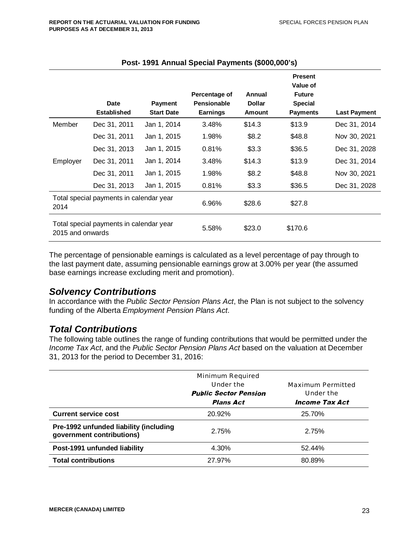|                                                             | <b>Date</b><br><b>Established</b> | <b>Payment</b><br><b>Start Date</b> | Percentage of<br>Pensionable<br><b>Earnings</b> | Annual<br><b>Dollar</b><br><b>Amount</b> | <b>Present</b><br>Value of<br><b>Future</b><br><b>Special</b><br><b>Payments</b> | <b>Last Payment</b> |
|-------------------------------------------------------------|-----------------------------------|-------------------------------------|-------------------------------------------------|------------------------------------------|----------------------------------------------------------------------------------|---------------------|
| Member                                                      | Dec 31, 2011                      | Jan 1, 2014                         | 3.48%                                           | \$14.3                                   | \$13.9                                                                           | Dec 31, 2014        |
|                                                             | Dec 31, 2011                      | Jan 1, 2015                         | 1.98%                                           | \$8.2                                    | \$48.8                                                                           | Nov 30, 2021        |
|                                                             | Dec 31, 2013                      | Jan 1, 2015                         | 0.81%                                           | \$3.3                                    | \$36.5                                                                           | Dec 31, 2028        |
| Employer                                                    | Dec 31, 2011                      | Jan 1, 2014                         | 3.48%                                           | \$14.3                                   | \$13.9                                                                           | Dec 31, 2014        |
|                                                             | Dec 31, 2011                      | Jan 1, 2015                         | 1.98%                                           | \$8.2                                    | \$48.8                                                                           | Nov 30, 2021        |
|                                                             | Dec 31, 2013                      | Jan 1, 2015                         | 0.81%                                           | \$3.3                                    | \$36.5                                                                           | Dec 31, 2028        |
| Total special payments in calendar year<br>2014             |                                   | 6.96%                               | \$28.6                                          | \$27.8                                   |                                                                                  |                     |
| Total special payments in calendar year<br>2015 and onwards |                                   | 5.58%                               | \$23.0                                          | \$170.6                                  |                                                                                  |                     |

#### **Post- 1991 Annual Special Payments (\$000,000's)**

The percentage of pensionable earnings is calculated as a level percentage of pay through to the last payment date, assuming pensionable earnings grow at 3.00% per year (the assumed base earnings increase excluding merit and promotion).

### *Solvency Contributions*

In accordance with the *Public Sector Pension Plans Act*, the Plan is not subject to the solvency funding of the Alberta *Employment Pension Plans Act*.

## *Total Contributions*

The following table outlines the range of funding contributions that would be permitted under the *Income Tax Act*, and the *Public Sector Pension Plans Act* based on the valuation at December 31, 2013 for the period to December 31, 2016:

|                                                                     | Minimum Required<br>Under the<br><b>Public Sector Pension</b><br><i><b>Plans Act</b></i> | Maximum Permitted<br>Under the<br><i><b>Income Tax Act</b></i> |
|---------------------------------------------------------------------|------------------------------------------------------------------------------------------|----------------------------------------------------------------|
| <b>Current service cost</b>                                         | 20.92%                                                                                   | 25.70%                                                         |
| Pre-1992 unfunded liability (including<br>government contributions) | 2.75%                                                                                    | 2.75%                                                          |
| Post-1991 unfunded liability                                        | 4.30%                                                                                    | 52.44%                                                         |
| <b>Total contributions</b>                                          | 27.97%                                                                                   | 80.89%                                                         |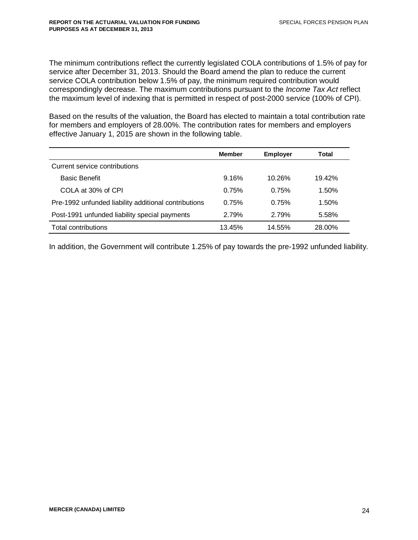The minimum contributions reflect the currently legislated COLA contributions of 1.5% of pay for service after December 31, 2013. Should the Board amend the plan to reduce the current service COLA contribution below 1.5% of pay, the minimum required contribution would correspondingly decrease. The maximum contributions pursuant to the *Income Tax Act* reflect the maximum level of indexing that is permitted in respect of post-2000 service (100% of CPI).

Based on the results of the valuation, the Board has elected to maintain a total contribution rate for members and employers of 28.00%. The contribution rates for members and employers effective January 1, 2015 are shown in the following table.

|                                                      | <b>Member</b> | <b>Employer</b> | Total  |
|------------------------------------------------------|---------------|-----------------|--------|
| Current service contributions                        |               |                 |        |
| <b>Basic Benefit</b>                                 | 9.16%         | $10.26\%$       | 19.42% |
| COLA at 30% of CPI                                   | 0.75%         | 0.75%           | 1.50%  |
| Pre-1992 unfunded liability additional contributions | 0.75%         | 0.75%           | 1.50%  |
| Post-1991 unfunded liability special payments        | 2.79%         | 2.79%           | 5.58%  |
| Total contributions                                  | 13.45%        | 14.55%          | 28.00% |

In addition, the Government will contribute 1.25% of pay towards the pre-1992 unfunded liability.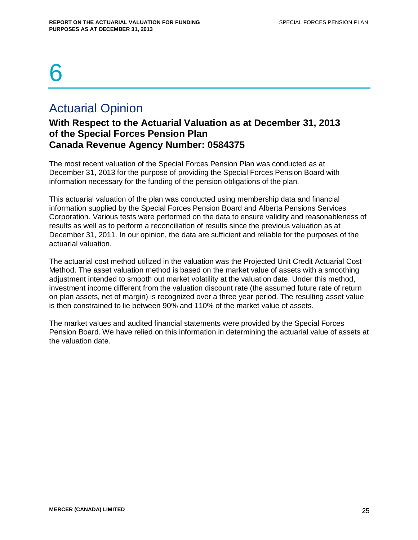# 6

# Actuarial Opinion

# **With Respect to the Actuarial Valuation as at December 31, 2013 of the Special Forces Pension Plan Canada Revenue Agency Number: 0584375**

The most recent valuation of the Special Forces Pension Plan was conducted as at December 31, 2013 for the purpose of providing the Special Forces Pension Board with information necessary for the funding of the pension obligations of the plan.

This actuarial valuation of the plan was conducted using membership data and financial information supplied by the Special Forces Pension Board and Alberta Pensions Services Corporation. Various tests were performed on the data to ensure validity and reasonableness of results as well as to perform a reconciliation of results since the previous valuation as at December 31, 2011. In our opinion, the data are sufficient and reliable for the purposes of the actuarial valuation.

The actuarial cost method utilized in the valuation was the Projected Unit Credit Actuarial Cost Method. The asset valuation method is based on the market value of assets with a smoothing adjustment intended to smooth out market volatility at the valuation date. Under this method, investment income different from the valuation discount rate (the assumed future rate of return on plan assets, net of margin) is recognized over a three year period. The resulting asset value is then constrained to lie between 90% and 110% of the market value of assets.

The market values and audited financial statements were provided by the Special Forces Pension Board. We have relied on this information in determining the actuarial value of assets at the valuation date.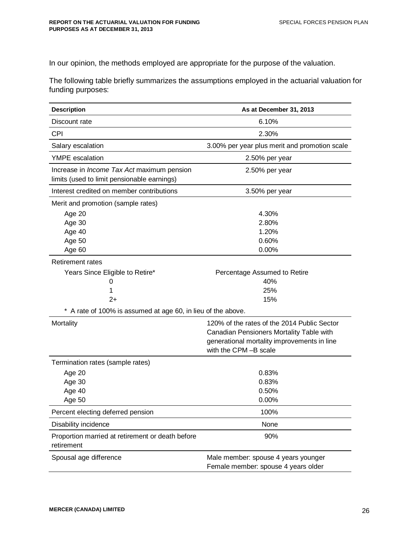In our opinion, the methods employed are appropriate for the purpose of the valuation.

The following table briefly summarizes the assumptions employed in the actuarial valuation for funding purposes:

| <b>Description</b>                                                                               | As at December 31, 2013                                                                                                                                         |
|--------------------------------------------------------------------------------------------------|-----------------------------------------------------------------------------------------------------------------------------------------------------------------|
| Discount rate                                                                                    | 6.10%                                                                                                                                                           |
| CPI                                                                                              | 2.30%                                                                                                                                                           |
| Salary escalation                                                                                | 3.00% per year plus merit and promotion scale                                                                                                                   |
| <b>YMPE</b> escalation                                                                           | 2.50% per year                                                                                                                                                  |
| Increase in <i>Income Tax Act</i> maximum pension<br>limits (used to limit pensionable earnings) | 2.50% per year                                                                                                                                                  |
| Interest credited on member contributions                                                        | 3.50% per year                                                                                                                                                  |
| Merit and promotion (sample rates)                                                               |                                                                                                                                                                 |
| Age 20                                                                                           | 4.30%                                                                                                                                                           |
| Age 30                                                                                           | 2.80%                                                                                                                                                           |
| Age 40                                                                                           | 1.20%                                                                                                                                                           |
| Age 50                                                                                           | 0.60%                                                                                                                                                           |
| Age 60                                                                                           | 0.00%                                                                                                                                                           |
| <b>Retirement rates</b>                                                                          |                                                                                                                                                                 |
| Years Since Eligible to Retire*                                                                  | Percentage Assumed to Retire                                                                                                                                    |
| 0                                                                                                | 40%                                                                                                                                                             |
| 1                                                                                                | 25%                                                                                                                                                             |
| $2+$                                                                                             | 15%                                                                                                                                                             |
| * A rate of 100% is assumed at age 60, in lieu of the above.                                     |                                                                                                                                                                 |
| Mortality                                                                                        | 120% of the rates of the 2014 Public Sector<br>Canadian Pensioners Mortality Table with<br>generational mortality improvements in line<br>with the CPM -B scale |
| Termination rates (sample rates)                                                                 |                                                                                                                                                                 |
| Age 20                                                                                           | 0.83%                                                                                                                                                           |
| Age 30                                                                                           | 0.83%                                                                                                                                                           |
| Age 40                                                                                           | 0.50%                                                                                                                                                           |
| Age 50                                                                                           | 0.00%                                                                                                                                                           |
| Percent electing deferred pension                                                                | 100%                                                                                                                                                            |
| Disability incidence                                                                             | None                                                                                                                                                            |
| Proportion married at retirement or death before<br>retirement                                   | 90%                                                                                                                                                             |
| Spousal age difference                                                                           | Male member: spouse 4 years younger<br>Female member: spouse 4 years older                                                                                      |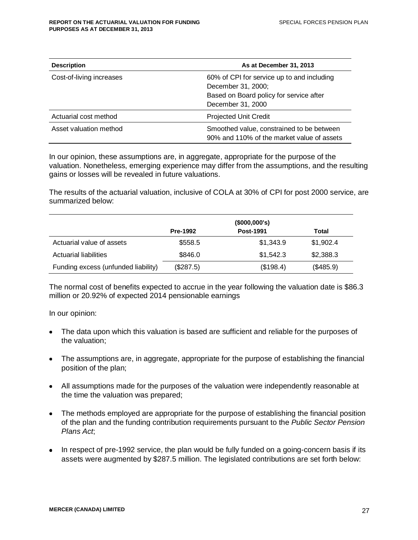| <b>Description</b>       | As at December 31, 2013                                                                                                          |
|--------------------------|----------------------------------------------------------------------------------------------------------------------------------|
| Cost-of-living increases | 60% of CPI for service up to and including<br>December 31, 2000;<br>Based on Board policy for service after<br>December 31, 2000 |
| Actuarial cost method    | <b>Projected Unit Credit</b>                                                                                                     |
| Asset valuation method   | Smoothed value, constrained to be between<br>90% and 110% of the market value of assets                                          |

In our opinion, these assumptions are, in aggregate, appropriate for the purpose of the valuation. Nonetheless, emerging experience may differ from the assumptions, and the resulting gains or losses will be revealed in future valuations.

The results of the actuarial valuation, inclusive of COLA at 30% of CPI for post 2000 service, are summarized below:

|                                     | (\$000,000's)                |           |           |
|-------------------------------------|------------------------------|-----------|-----------|
|                                     | Post-1991<br><b>Pre-1992</b> |           |           |
| Actuarial value of assets           | \$558.5                      | \$1,343.9 | \$1,902.4 |
| Actuarial liabilities               | \$846.0                      | \$1,542.3 | \$2,388.3 |
| Funding excess (unfunded liability) | (\$287.5)                    | (\$198.4) | (\$485.9) |

The normal cost of benefits expected to accrue in the year following the valuation date is \$86.3 million or 20.92% of expected 2014 pensionable earnings

In our opinion:

- The data upon which this valuation is based are sufficient and reliable for the purposes of the valuation;
- The assumptions are, in aggregate, appropriate for the purpose of establishing the financial position of the plan;
- All assumptions made for the purposes of the valuation were independently reasonable at the time the valuation was prepared;
- The methods employed are appropriate for the purpose of establishing the financial position of the plan and the funding contribution requirements pursuant to the *Public Sector Pension Plans Act*;
- In respect of pre-1992 service, the plan would be fully funded on a going-concern basis if its assets were augmented by \$287.5 million. The legislated contributions are set forth below: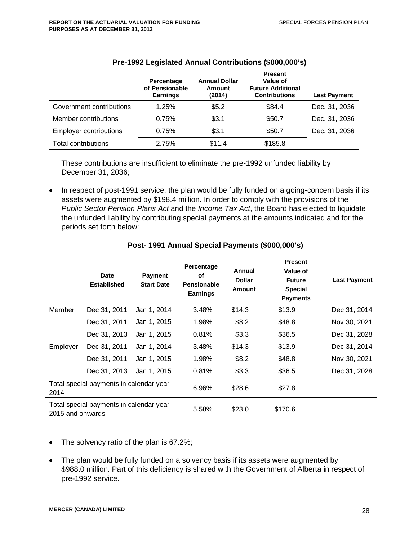|                               | Percentage<br>of Pensionable<br><b>Earnings</b> | <b>Annual Dollar</b><br><b>Amount</b><br>(2014) | <b>Present</b><br>Value of<br><b>Future Additional</b><br><b>Contributions</b> | <b>Last Payment</b> |
|-------------------------------|-------------------------------------------------|-------------------------------------------------|--------------------------------------------------------------------------------|---------------------|
| Government contributions      | 1.25%                                           | \$5.2                                           | \$84.4                                                                         | Dec. 31, 2036       |
| Member contributions          | 0.75%                                           | \$3.1                                           | \$50.7                                                                         | Dec. 31, 2036       |
| <b>Employer contributions</b> | 0.75%                                           | \$3.1                                           | \$50.7                                                                         | Dec. 31, 2036       |
| <b>Total contributions</b>    | 2.75%                                           | \$11.4                                          | \$185.8                                                                        |                     |

#### **Pre-1992 Legislated Annual Contributions (\$000,000's)**

These contributions are insufficient to eliminate the pre-1992 unfunded liability by December 31, 2036;

• In respect of post-1991 service, the plan would be fully funded on a going-concern basis if its assets were augmented by \$198.4 million. In order to comply with the provisions of the *Public Sector Pension Plans Act* and the *Income Tax Act*, the Board has elected to liquidate the unfunded liability by contributing special payments at the amounts indicated and for the periods set forth below:

|                                                             | Date<br><b>Established</b> | <b>Payment</b><br><b>Start Date</b> | Percentage<br>οf<br>Pensionable<br><b>Earnings</b> | Annual<br><b>Dollar</b><br><b>Amount</b> | <b>Present</b><br>Value of<br><b>Future</b><br><b>Special</b><br><b>Payments</b> | <b>Last Payment</b> |
|-------------------------------------------------------------|----------------------------|-------------------------------------|----------------------------------------------------|------------------------------------------|----------------------------------------------------------------------------------|---------------------|
| Member                                                      | Dec 31, 2011               | Jan 1, 2014                         | 3.48%                                              | \$14.3                                   | \$13.9                                                                           | Dec 31, 2014        |
|                                                             | Dec 31, 2011               | Jan 1, 2015                         | 1.98%                                              | \$8.2                                    | \$48.8                                                                           | Nov 30, 2021        |
|                                                             | Dec 31, 2013               | Jan 1, 2015                         | 0.81%                                              | \$3.3                                    | \$36.5                                                                           | Dec 31, 2028        |
| Employer                                                    | Dec 31, 2011               | Jan 1, 2014                         | 3.48%                                              | \$14.3                                   | \$13.9                                                                           | Dec 31, 2014        |
|                                                             | Dec 31, 2011               | Jan 1, 2015                         | 1.98%                                              | \$8.2                                    | \$48.8                                                                           | Nov 30, 2021        |
|                                                             | Dec 31, 2013               | Jan 1, 2015                         | 0.81%                                              | \$3.3                                    | \$36.5                                                                           | Dec 31, 2028        |
| Total special payments in calendar year<br>2014             |                            | 6.96%                               | \$28.6                                             | \$27.8                                   |                                                                                  |                     |
| Total special payments in calendar year<br>2015 and onwards |                            | 5.58%                               | \$23.0                                             | \$170.6                                  |                                                                                  |                     |

#### **Post- 1991 Annual Special Payments (\$000,000's)**

- The solvency ratio of the plan is 67.2%;
- The plan would be fully funded on a solvency basis if its assets were augmented by \$988.0 million. Part of this deficiency is shared with the Government of Alberta in respect of pre-1992 service.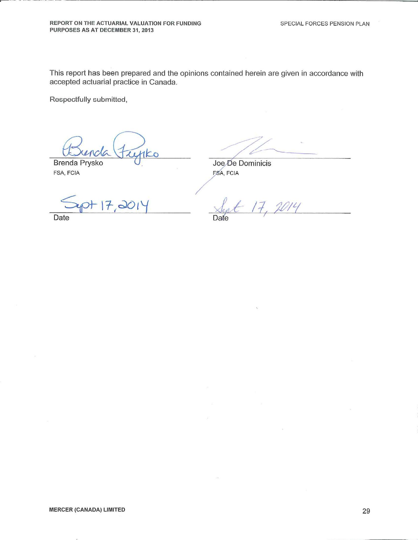This report has been prepared and the opinions contained herein are given in accordance with accepted actuarial practice in Canada.

Respectfully submitted,

**Brenda Prysko** 

FSA, FCIA

Joe De Dominicis FSA, FCIA

 $17,001$ 

Date

Date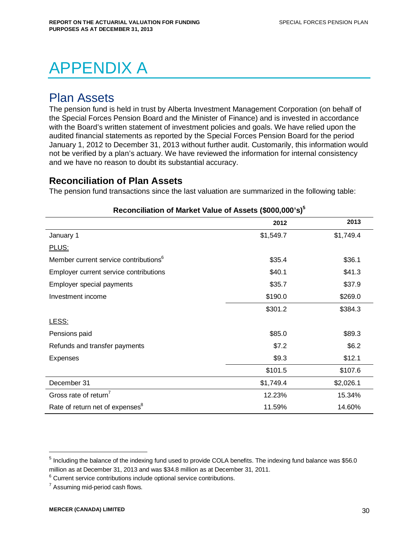# APPENDIX A

# Plan Assets

The pension fund is held in trust by Alberta Investment Management Corporation (on behalf of the Special Forces Pension Board and the Minister of Finance) and is invested in accordance with the Board's written statement of investment policies and goals. We have relied upon the audited financial statements as reported by the Special Forces Pension Board for the period January 1, 2012 to December 31, 2013 without further audit. Customarily, this information would not be verified by a plan's actuary. We have reviewed the information for internal consistency and we have no reason to doubt its substantial accuracy.

## **Reconciliation of Plan Assets**

The pension fund transactions since the last valuation are summarized in the following table:

|                                                   | 2012      | 2013      |
|---------------------------------------------------|-----------|-----------|
| January 1                                         | \$1,549.7 | \$1,749.4 |
| PLUS:                                             |           |           |
| Member current service contributions <sup>6</sup> | \$35.4    | \$36.1    |
| Employer current service contributions            | \$40.1    | \$41.3    |
| Employer special payments                         | \$35.7    | \$37.9    |
| Investment income                                 | \$190.0   | \$269.0   |
|                                                   | \$301.2   | \$384.3   |
| LESS:                                             |           |           |
| Pensions paid                                     | \$85.0    | \$89.3    |
| Refunds and transfer payments                     | \$7.2     | \$6.2     |
| Expenses                                          | \$9.3     | \$12.1    |
|                                                   | \$101.5   | \$107.6   |
| December 31                                       | \$1,749.4 | \$2,026.1 |
| Gross rate of return <sup>7</sup>                 | 12.23%    | 15.34%    |
| Rate of return net of expenses <sup>8</sup>       | 11.59%    | 14.60%    |

#### **Reconciliation of Market Value of Assets (\$000,000's)<sup>5</sup>**

 $<sup>5</sup>$  Including the balance of the indexing fund used to provide COLA benefits. The indexing fund balance was \$56.0</sup> million as at December 31, 2013 and was \$34.8 million as at December 31, 2011.

 $6$  Current service contributions include optional service contributions.

 $7$  Assuming mid-period cash flows.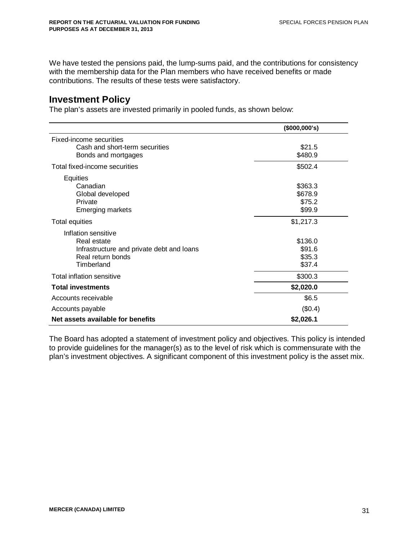We have tested the pensions paid, the lump-sums paid, and the contributions for consistency with the membership data for the Plan members who have received benefits or made contributions. The results of these tests were satisfactory.

### **Investment Policy**

The plan's assets are invested primarily in pooled funds, as shown below:

|                                           | (\$000,000's) |
|-------------------------------------------|---------------|
| Fixed-income securities                   |               |
| Cash and short-term securities            | \$21.5        |
| Bonds and mortgages                       | \$480.9       |
| Total fixed-income securities             | \$502.4       |
| <b>Equities</b>                           |               |
| Canadian                                  | \$363.3       |
| Global developed                          | \$678.9       |
| Private                                   | \$75.2        |
| <b>Emerging markets</b>                   | \$99.9        |
| Total equities                            | \$1,217.3     |
| Inflation sensitive                       |               |
| Real estate                               | \$136.0       |
| Infrastructure and private debt and loans | \$91.6        |
| Real return bonds                         | \$35.3        |
| Timberland                                | \$37.4        |
| Total inflation sensitive                 | \$300.3       |
| <b>Total investments</b>                  | \$2,020.0     |
| Accounts receivable                       | \$6.5         |
| Accounts payable                          | (\$0.4)       |
| Net assets available for benefits         | \$2,026.1     |

The Board has adopted a statement of investment policy and objectives. This policy is intended to provide guidelines for the manager(s) as to the level of risk which is commensurate with the plan's investment objectives. A significant component of this investment policy is the asset mix.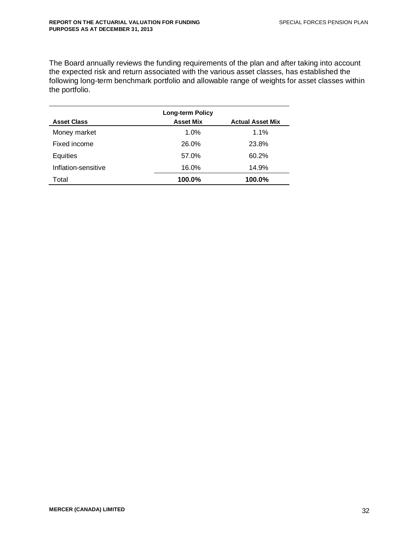The Board annually reviews the funding requirements of the plan and after taking into account the expected risk and return associated with the various asset classes, has established the following long-term benchmark portfolio and allowable range of weights for asset classes within the portfolio.

|                     | <b>Long-term Policy</b> |                         |
|---------------------|-------------------------|-------------------------|
| <b>Asset Class</b>  | <b>Asset Mix</b>        | <b>Actual Asset Mix</b> |
| Money market        | 1.0%                    | $1.1\%$                 |
| Fixed income        | 26.0%                   | 23.8%                   |
| Equities            | 57.0%                   | 60.2%                   |
| Inflation-sensitive | 16.0%                   | 14.9%                   |
| Total               | 100.0%                  | 100.0%                  |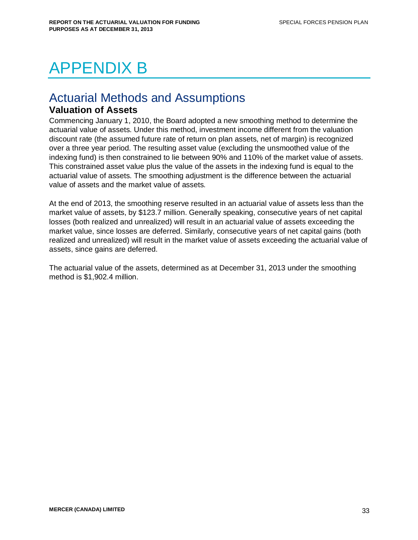# APPENDIX B

# Actuarial Methods and Assumptions

## **Valuation of Assets**

Commencing January 1, 2010, the Board adopted a new smoothing method to determine the actuarial value of assets. Under this method, investment income different from the valuation discount rate (the assumed future rate of return on plan assets, net of margin) is recognized over a three year period. The resulting asset value (excluding the unsmoothed value of the indexing fund) is then constrained to lie between 90% and 110% of the market value of assets. This constrained asset value plus the value of the assets in the indexing fund is equal to the actuarial value of assets. The smoothing adjustment is the difference between the actuarial value of assets and the market value of assets.

At the end of 2013, the smoothing reserve resulted in an actuarial value of assets less than the market value of assets, by \$123.7 million. Generally speaking, consecutive years of net capital losses (both realized and unrealized) will result in an actuarial value of assets exceeding the market value, since losses are deferred. Similarly, consecutive years of net capital gains (both realized and unrealized) will result in the market value of assets exceeding the actuarial value of assets, since gains are deferred.

The actuarial value of the assets, determined as at December 31, 2013 under the smoothing method is \$1,902.4 million.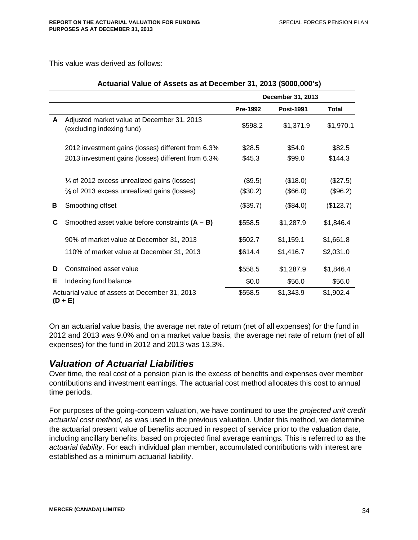This value was derived as follows:

|   |                                                                         | December 31, 2013 |                  |              |
|---|-------------------------------------------------------------------------|-------------------|------------------|--------------|
|   |                                                                         | <b>Pre-1992</b>   | <b>Post-1991</b> | <b>Total</b> |
| A | Adjusted market value at December 31, 2013<br>(excluding indexing fund) | \$598.2           | \$1,371.9        | \$1,970.1    |
|   | 2012 investment gains (losses) different from 6.3%                      | \$28.5            | \$54.0           | \$82.5       |
|   | 2013 investment gains (losses) different from 6.3%                      | \$45.3            | \$99.0           | \$144.3      |
|   | 1/ <sub>3</sub> of 2012 excess unrealized gains (losses)                | (\$9.5)           | (\$18.0)         | (\$27.5)     |
|   | % of 2013 excess unrealized gains (losses)                              | (\$30.2)          | (\$66.0)         | (\$96.2)     |
| В | Smoothing offset                                                        | (\$39.7)          | (\$84.0)         | (\$123.7)    |
| С | Smoothed asset value before constraints $(A - B)$                       | \$558.5           | \$1,287.9        | \$1,846.4    |
|   | 90% of market value at December 31, 2013                                | \$502.7           | \$1,159.1        | \$1,661.8    |
|   | 110% of market value at December 31, 2013                               | \$614.4           | \$1,416.7        | \$2,031.0    |
| D | Constrained asset value                                                 | \$558.5           | \$1,287.9        | \$1,846.4    |
| Е | Indexing fund balance                                                   | \$0.0             | \$56.0           | \$56.0       |
|   | Actuarial value of assets at December 31, 2013<br>$(D + E)$             | \$558.5           | \$1,343.9        | \$1,902.4    |

#### **Actuarial Value of Assets as at December 31, 2013 (\$000,000's)**

On an actuarial value basis, the average net rate of return (net of all expenses) for the fund in 2012 and 2013 was 9.0% and on a market value basis, the average net rate of return (net of all expenses) for the fund in 2012 and 2013 was 13.3%.

# *Valuation of Actuarial Liabilities*

Over time, the real cost of a pension plan is the excess of benefits and expenses over member contributions and investment earnings. The actuarial cost method allocates this cost to annual time periods.

For purposes of the going-concern valuation, we have continued to use the *projected unit credit actuarial cost method*, as was used in the previous valuation. Under this method, we determine the actuarial present value of benefits accrued in respect of service prior to the valuation date, including ancillary benefits, based on projected final average earnings. This is referred to as the *actuarial liability*. For each individual plan member, accumulated contributions with interest are established as a minimum actuarial liability.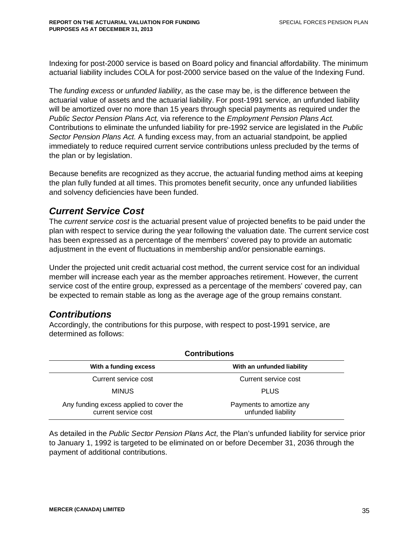Indexing for post-2000 service is based on Board policy and financial affordability. The minimum actuarial liability includes COLA for post-2000 service based on the value of the Indexing Fund.

The *funding excess* or *unfunded liability*, as the case may be, is the difference between the actuarial value of assets and the actuarial liability. For post-1991 service, an unfunded liability will be amortized over no more than 15 years through special payments as required under the *Public Sector Pension Plans Act,* via reference to the *Employment Pension Plans Act.* Contributions to eliminate the unfunded liability for pre-1992 service are legislated in the *Public Sector Pension Plans Act.* A funding excess may, from an actuarial standpoint, be applied immediately to reduce required current service contributions unless precluded by the terms of the plan or by legislation.

Because benefits are recognized as they accrue, the actuarial funding method aims at keeping the plan fully funded at all times. This promotes benefit security, once any unfunded liabilities and solvency deficiencies have been funded.

# *Current Service Cost*

The *current service cost* is the actuarial present value of projected benefits to be paid under the plan with respect to service during the year following the valuation date. The current service cost has been expressed as a percentage of the members' covered pay to provide an automatic adjustment in the event of fluctuations in membership and/or pensionable earnings.

Under the projected unit credit actuarial cost method, the current service cost for an individual member will increase each year as the member approaches retirement. However, the current service cost of the entire group, expressed as a percentage of the members' covered pay, can be expected to remain stable as long as the average age of the group remains constant.

# *Contributions*

Accordingly, the contributions for this purpose, with respect to post-1991 service, are determined as follows:

| <b>Contributions</b>                                            |                                                |  |  |  |  |
|-----------------------------------------------------------------|------------------------------------------------|--|--|--|--|
| With a funding excess                                           | With an unfunded liability                     |  |  |  |  |
| Current service cost                                            | Current service cost                           |  |  |  |  |
| <b>MINUS</b>                                                    | <b>PLUS</b>                                    |  |  |  |  |
| Any funding excess applied to cover the<br>current service cost | Payments to amortize any<br>unfunded liability |  |  |  |  |

As detailed in the *Public Sector Pension Plans Act*, the Plan's unfunded liability for service prior to January 1, 1992 is targeted to be eliminated on or before December 31, 2036 through the payment of additional contributions.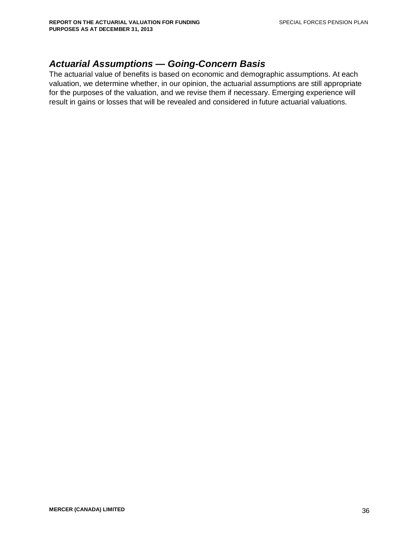# *Actuarial Assumptions — Going-Concern Basis*

The actuarial value of benefits is based on economic and demographic assumptions. At each valuation, we determine whether, in our opinion, the actuarial assumptions are still appropriate for the purposes of the valuation, and we revise them if necessary. Emerging experience will result in gains or losses that will be revealed and considered in future actuarial valuations.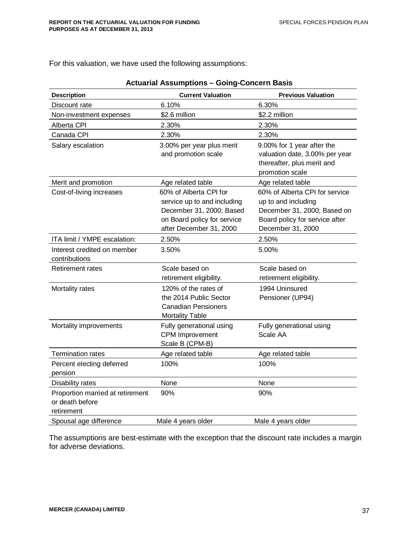For this valuation, we have used the following assumptions:

| <b>Description</b>                                                | <b>Current Valuation</b>                                                                                                                    | <b>Previous Valuation</b>                                                                                                                   |
|-------------------------------------------------------------------|---------------------------------------------------------------------------------------------------------------------------------------------|---------------------------------------------------------------------------------------------------------------------------------------------|
| Discount rate                                                     | 6.10%                                                                                                                                       | 6.30%                                                                                                                                       |
| Non-investment expenses                                           | \$2.6 million                                                                                                                               | \$2.2 million                                                                                                                               |
| Alberta CPI                                                       | 2.30%                                                                                                                                       | 2.30%                                                                                                                                       |
| Canada CPI                                                        | 2.30%                                                                                                                                       | 2.30%                                                                                                                                       |
| Salary escalation                                                 | 3.00% per year plus merit<br>and promotion scale                                                                                            | 9.00% for 1 year after the<br>valuation date, 3.00% per year<br>thereafter, plus merit and<br>promotion scale                               |
| Merit and promotion                                               | Age related table                                                                                                                           | Age related table                                                                                                                           |
| Cost-of-living increases                                          | 60% of Alberta CPI for<br>service up to and including<br>December 31, 2000; Based<br>on Board policy for service<br>after December 31, 2000 | 60% of Alberta CPI for service<br>up to and including<br>December 31, 2000; Based on<br>Board policy for service after<br>December 31, 2000 |
| ITA limit / YMPE escalation:                                      | 2.50%                                                                                                                                       | 2.50%                                                                                                                                       |
| Interest credited on member<br>contributions                      | 3.50%                                                                                                                                       | 5.00%                                                                                                                                       |
| <b>Retirement rates</b>                                           | Scale based on<br>retirement eligibility.                                                                                                   | Scale based on<br>retirement eligibility.                                                                                                   |
| Mortality rates                                                   | 120% of the rates of<br>the 2014 Public Sector<br><b>Canadian Pensioners</b><br><b>Mortality Table</b>                                      | 1994 Uninsured<br>Pensioner (UP94)                                                                                                          |
| Mortality improvements                                            | Fully generational using<br><b>CPM</b> Improvement<br>Scale B (CPM-B)                                                                       | Fully generational using<br>Scale AA                                                                                                        |
| <b>Termination rates</b>                                          | Age related table                                                                                                                           | Age related table                                                                                                                           |
| Percent electing deferred<br>pension                              | 100%                                                                                                                                        | 100%                                                                                                                                        |
| Disability rates                                                  | None                                                                                                                                        | None                                                                                                                                        |
| Proportion married at retirement<br>or death before<br>retirement | 90%                                                                                                                                         | 90%                                                                                                                                         |
| Spousal age difference                                            | Male 4 years older                                                                                                                          | Male 4 years older                                                                                                                          |

#### **Actuarial Assumptions – Going-Concern Basis**

The assumptions are best-estimate with the exception that the discount rate includes a margin for adverse deviations.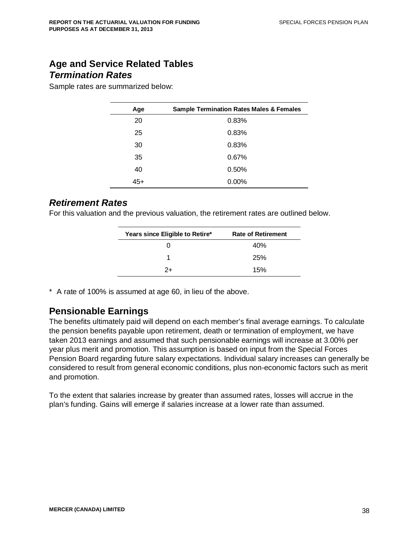# **Age and Service Related Tables** *Termination Rates*

Sample rates are summarized below:

| Age   | <b>Sample Termination Rates Males &amp; Females</b> |
|-------|-----------------------------------------------------|
| 20    | 0.83%                                               |
| 25    | 0.83%                                               |
| 30    | 0.83%                                               |
| 35    | 0.67%                                               |
| 40    | 0.50%                                               |
| $45+$ | 0.00%                                               |

## *Retirement Rates*

For this valuation and the previous valuation, the retirement rates are outlined below.

| Years since Eligible to Retire* | <b>Rate of Retirement</b> |
|---------------------------------|---------------------------|
| 0                               | 40%                       |
|                                 | 25%                       |
| $2+$                            | 15%                       |

\* A rate of 100% is assumed at age 60, in lieu of the above.

### **Pensionable Earnings**

The benefits ultimately paid will depend on each member's final average earnings. To calculate the pension benefits payable upon retirement, death or termination of employment, we have taken 2013 earnings and assumed that such pensionable earnings will increase at 3.00% per year plus merit and promotion. This assumption is based on input from the Special Forces Pension Board regarding future salary expectations. Individual salary increases can generally be considered to result from general economic conditions, plus non-economic factors such as merit and promotion.

To the extent that salaries increase by greater than assumed rates, losses will accrue in the plan's funding. Gains will emerge if salaries increase at a lower rate than assumed.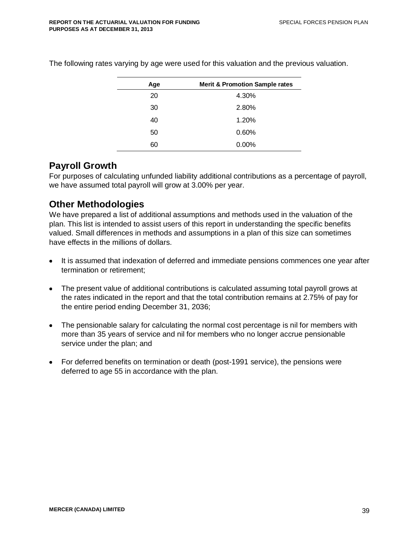| Age | <b>Merit &amp; Promotion Sample rates</b> |  |  |  |  |  |
|-----|-------------------------------------------|--|--|--|--|--|
| 20  | 4.30%                                     |  |  |  |  |  |
| 30  | 2.80%                                     |  |  |  |  |  |
| 40  | 1.20%                                     |  |  |  |  |  |
| 50  | 0.60%                                     |  |  |  |  |  |
| 60  | $0.00\%$                                  |  |  |  |  |  |

The following rates varying by age were used for this valuation and the previous valuation.

## **Payroll Growth**

For purposes of calculating unfunded liability additional contributions as a percentage of payroll, we have assumed total payroll will grow at 3.00% per year.

## **Other Methodologies**

We have prepared a list of additional assumptions and methods used in the valuation of the plan. This list is intended to assist users of this report in understanding the specific benefits valued. Small differences in methods and assumptions in a plan of this size can sometimes have effects in the millions of dollars.

- It is assumed that indexation of deferred and immediate pensions commences one year after termination or retirement;
- The present value of additional contributions is calculated assuming total payroll grows at the rates indicated in the report and that the total contribution remains at 2.75% of pay for the entire period ending December 31, 2036;
- The pensionable salary for calculating the normal cost percentage is nil for members with more than 35 years of service and nil for members who no longer accrue pensionable service under the plan; and
- For deferred benefits on termination or death (post-1991 service), the pensions were deferred to age 55 in accordance with the plan.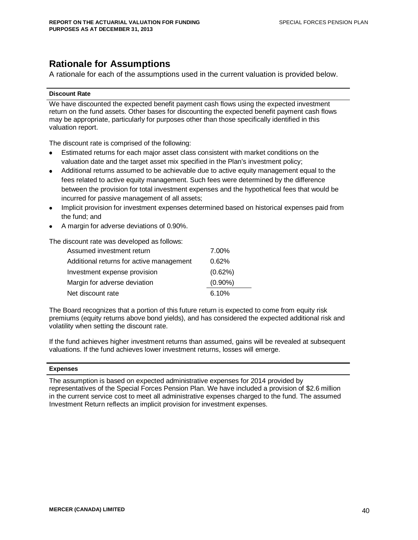# **Rationale for Assumptions**

A rationale for each of the assumptions used in the current valuation is provided below.

#### **Discount Rate**

We have discounted the expected benefit payment cash flows using the expected investment return on the fund assets. Other bases for discounting the expected benefit payment cash flows may be appropriate, particularly for purposes other than those specifically identified in this valuation report.

The discount rate is comprised of the following:

- Estimated returns for each major asset class consistent with market conditions on the valuation date and the target asset mix specified in the Plan's investment policy;
- Additional returns assumed to be achievable due to active equity management equal to the fees related to active equity management. Such fees were determined by the difference between the provision for total investment expenses and the hypothetical fees that would be incurred for passive management of all assets;
- Implicit provision for investment expenses determined based on historical expenses paid from the fund; and
- A margin for adverse deviations of 0.90%.

The discount rate was developed as follows:

| Assumed investment return                | 7.00%      |
|------------------------------------------|------------|
| Additional returns for active management | 0.62%      |
| Investment expense provision             | (0.62%)    |
| Margin for adverse deviation             | $(0.90\%)$ |
| Net discount rate                        | 6.10%      |

The Board recognizes that a portion of this future return is expected to come from equity risk premiums (equity returns above bond yields), and has considered the expected additional risk and volatility when setting the discount rate.

If the fund achieves higher investment returns than assumed, gains will be revealed at subsequent valuations. If the fund achieves lower investment returns, losses will emerge.

#### **Expenses**

The assumption is based on expected administrative expenses for 2014 provided by representatives of the Special Forces Pension Plan. We have included a provision of \$2.6 million in the current service cost to meet all administrative expenses charged to the fund. The assumed Investment Return reflects an implicit provision for investment expenses.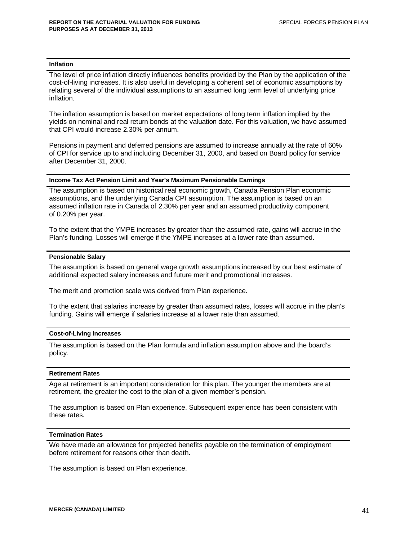#### **Inflation**

The level of price inflation directly influences benefits provided by the Plan by the application of the cost-of-living increases. It is also useful in developing a coherent set of economic assumptions by relating several of the individual assumptions to an assumed long term level of underlying price inflation.

The inflation assumption is based on market expectations of long term inflation implied by the yields on nominal and real return bonds at the valuation date. For this valuation, we have assumed that CPI would increase 2.30% per annum.

Pensions in payment and deferred pensions are assumed to increase annually at the rate of 60% of CPI for service up to and including December 31, 2000, and based on Board policy for service after December 31, 2000.

#### **Income Tax Act Pension Limit and Year's Maximum Pensionable Earnings**

The assumption is based on historical real economic growth, Canada Pension Plan economic assumptions, and the underlying Canada CPI assumption. The assumption is based on an assumed inflation rate in Canada of 2.30% per year and an assumed productivity component of 0.20% per year.

To the extent that the YMPE increases by greater than the assumed rate, gains will accrue in the Plan's funding. Losses will emerge if the YMPE increases at a lower rate than assumed.

#### **Pensionable Salary**

The assumption is based on general wage growth assumptions increased by our best estimate of additional expected salary increases and future merit and promotional increases.

The merit and promotion scale was derived from Plan experience.

To the extent that salaries increase by greater than assumed rates, losses will accrue in the plan's funding. Gains will emerge if salaries increase at a lower rate than assumed.

#### **Cost-of-Living Increases**

The assumption is based on the Plan formula and inflation assumption above and the board's policy.

#### **Retirement Rates**

Age at retirement is an important consideration for this plan. The younger the members are at retirement, the greater the cost to the plan of a given member's pension.

The assumption is based on Plan experience. Subsequent experience has been consistent with these rates.

#### **Termination Rates**

We have made an allowance for projected benefits payable on the termination of employment before retirement for reasons other than death.

The assumption is based on Plan experience.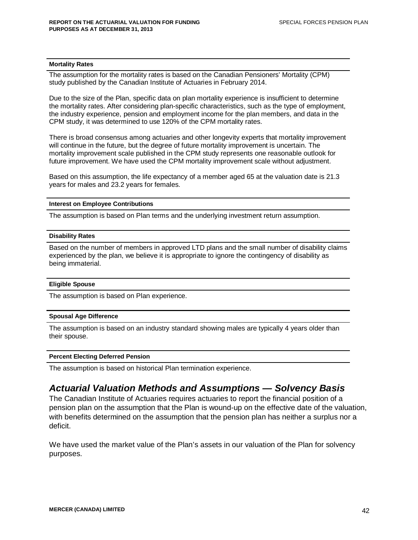#### **Mortality Rates**

The assumption for the mortality rates is based on the Canadian Pensioners' Mortality (CPM) study published by the Canadian Institute of Actuaries in February 2014.

Due to the size of the Plan, specific data on plan mortality experience is insufficient to determine the mortality rates. After considering plan-specific characteristics, such as the type of employment, the industry experience, pension and employment income for the plan members, and data in the CPM study, it was determined to use 120% of the CPM mortality rates.

There is broad consensus among actuaries and other longevity experts that mortality improvement will continue in the future, but the degree of future mortality improvement is uncertain. The mortality improvement scale published in the CPM study represents one reasonable outlook for future improvement. We have used the CPM mortality improvement scale without adjustment.

Based on this assumption, the life expectancy of a member aged 65 at the valuation date is 21.3 years for males and 23.2 years for females.

#### **Interest on Employee Contributions**

The assumption is based on Plan terms and the underlying investment return assumption.

#### **Disability Rates**

Based on the number of members in approved LTD plans and the small number of disability claims experienced by the plan, we believe it is appropriate to ignore the contingency of disability as being immaterial.

#### **Eligible Spouse**

The assumption is based on Plan experience.

#### **Spousal Age Difference**

The assumption is based on an industry standard showing males are typically 4 years older than their spouse.

#### **Percent Electing Deferred Pension**

The assumption is based on historical Plan termination experience.

## *Actuarial Valuation Methods and Assumptions — Solvency Basis*

The Canadian Institute of Actuaries requires actuaries to report the financial position of a pension plan on the assumption that the Plan is wound-up on the effective date of the valuation, with benefits determined on the assumption that the pension plan has neither a surplus nor a deficit.

We have used the market value of the Plan's assets in our valuation of the Plan for solvency purposes.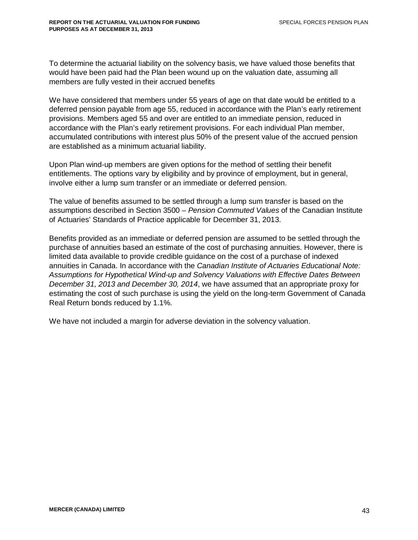To determine the actuarial liability on the solvency basis, we have valued those benefits that would have been paid had the Plan been wound up on the valuation date, assuming all members are fully vested in their accrued benefits

We have considered that members under 55 years of age on that date would be entitled to a deferred pension payable from age 55, reduced in accordance with the Plan's early retirement provisions. Members aged 55 and over are entitled to an immediate pension, reduced in accordance with the Plan's early retirement provisions. For each individual Plan member, accumulated contributions with interest plus 50% of the present value of the accrued pension are established as a minimum actuarial liability.

Upon Plan wind-up members are given options for the method of settling their benefit entitlements. The options vary by eligibility and by province of employment, but in general, involve either a lump sum transfer or an immediate or deferred pension.

The value of benefits assumed to be settled through a lump sum transfer is based on the assumptions described in Section 3500 – *Pension Commuted Values* of the Canadian Institute of Actuaries' Standards of Practice applicable for December 31, 2013.

Benefits provided as an immediate or deferred pension are assumed to be settled through the purchase of annuities based an estimate of the cost of purchasing annuities. However, there is limited data available to provide credible guidance on the cost of a purchase of indexed annuities in Canada. In accordance with the *Canadian Institute of Actuaries Educational Note: Assumptions for Hypothetical Wind-up and Solvency Valuations with Effective Dates Between December 31, 2013 and December 30, 2014*, we have assumed that an appropriate proxy for estimating the cost of such purchase is using the yield on the long-term Government of Canada Real Return bonds reduced by 1.1%.

We have not included a margin for adverse deviation in the solvency valuation.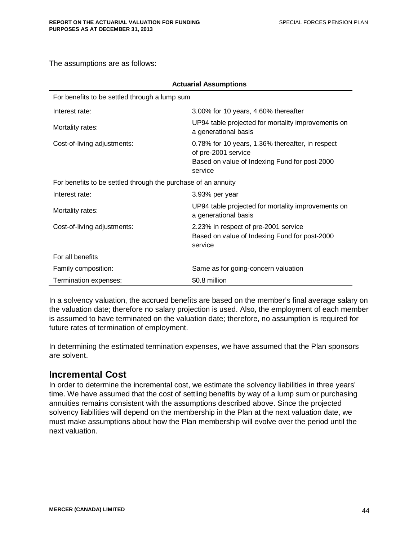The assumptions are as follows:

| <b>Actuarial Assumptions</b>                                  |                                                                                                                                     |  |  |  |
|---------------------------------------------------------------|-------------------------------------------------------------------------------------------------------------------------------------|--|--|--|
| For benefits to be settled through a lump sum                 |                                                                                                                                     |  |  |  |
| Interest rate:                                                | 3.00% for 10 years, 4.60% thereafter                                                                                                |  |  |  |
| Mortality rates:                                              | UP94 table projected for mortality improvements on<br>a generational basis                                                          |  |  |  |
| Cost-of-living adjustments:                                   | 0.78% for 10 years, 1.36% thereafter, in respect<br>of pre-2001 service<br>Based on value of Indexing Fund for post-2000<br>service |  |  |  |
| For benefits to be settled through the purchase of an annuity |                                                                                                                                     |  |  |  |
| Interest rate:                                                | 3.93% per year                                                                                                                      |  |  |  |
| Mortality rates:                                              | UP94 table projected for mortality improvements on<br>a generational basis                                                          |  |  |  |
| Cost-of-living adjustments:                                   | 2.23% in respect of pre-2001 service<br>Based on value of Indexing Fund for post-2000<br>service                                    |  |  |  |
| For all benefits                                              |                                                                                                                                     |  |  |  |
| Family composition:                                           | Same as for going-concern valuation                                                                                                 |  |  |  |
| Termination expenses:                                         | \$0.8 million                                                                                                                       |  |  |  |

In a solvency valuation, the accrued benefits are based on the member's final average salary on the valuation date; therefore no salary projection is used. Also, the employment of each member is assumed to have terminated on the valuation date; therefore, no assumption is required for future rates of termination of employment.

In determining the estimated termination expenses, we have assumed that the Plan sponsors are solvent.

# **Incremental Cost**

In order to determine the incremental cost, we estimate the solvency liabilities in three years' time. We have assumed that the cost of settling benefits by way of a lump sum or purchasing annuities remains consistent with the assumptions described above. Since the projected solvency liabilities will depend on the membership in the Plan at the next valuation date, we must make assumptions about how the Plan membership will evolve over the period until the next valuation.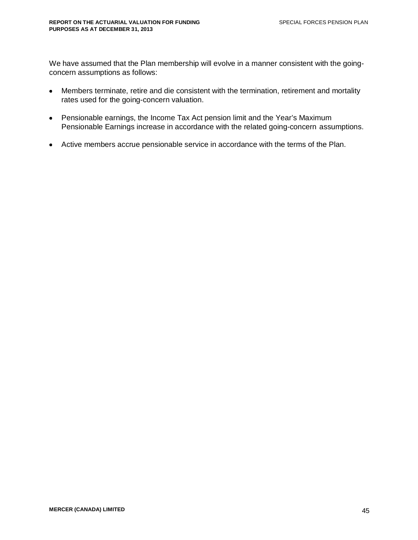We have assumed that the Plan membership will evolve in a manner consistent with the goingconcern assumptions as follows:

- Members terminate, retire and die consistent with the termination, retirement and mortality rates used for the going-concern valuation.
- Pensionable earnings, the Income Tax Act pension limit and the Year's Maximum Pensionable Earnings increase in accordance with the related going-concern assumptions.
- Active members accrue pensionable service in accordance with the terms of the Plan.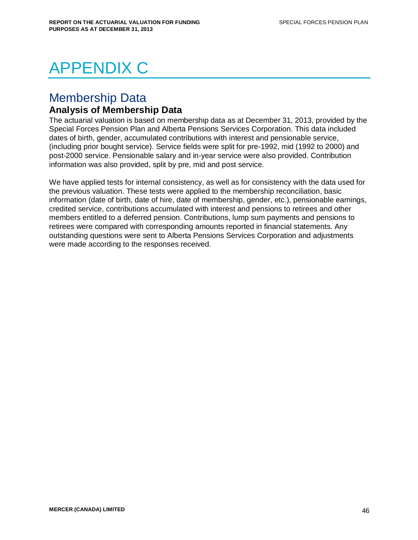# APPENDIX C

# Membership Data

# **Analysis of Membership Data**

The actuarial valuation is based on membership data as at December 31, 2013, provided by the Special Forces Pension Plan and Alberta Pensions Services Corporation. This data included dates of birth, gender, accumulated contributions with interest and pensionable service, (including prior bought service). Service fields were split for pre-1992, mid (1992 to 2000) and post-2000 service. Pensionable salary and in-year service were also provided. Contribution information was also provided, split by pre, mid and post service.

We have applied tests for internal consistency, as well as for consistency with the data used for the previous valuation. These tests were applied to the membership reconciliation, basic information (date of birth, date of hire, date of membership, gender, etc.), pensionable earnings, credited service, contributions accumulated with interest and pensions to retirees and other members entitled to a deferred pension. Contributions, lump sum payments and pensions to retirees were compared with corresponding amounts reported in financial statements. Any outstanding questions were sent to Alberta Pensions Services Corporation and adjustments were made according to the responses received.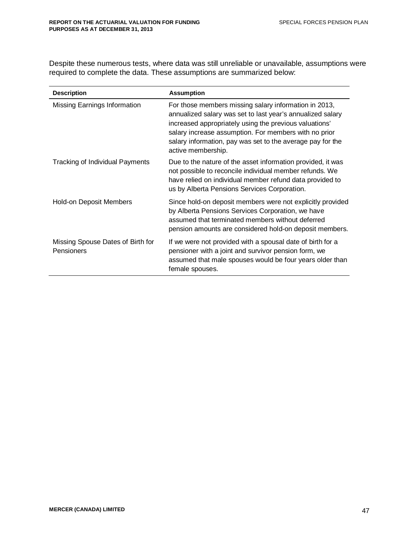Despite these numerous tests, where data was still unreliable or unavailable, assumptions were required to complete the data. These assumptions are summarized below:

| <b>Description</b>                              | <b>Assumption</b>                                                                                                                                                                                                                                                                                                          |
|-------------------------------------------------|----------------------------------------------------------------------------------------------------------------------------------------------------------------------------------------------------------------------------------------------------------------------------------------------------------------------------|
| Missing Earnings Information                    | For those members missing salary information in 2013,<br>annualized salary was set to last year's annualized salary<br>increased appropriately using the previous valuations'<br>salary increase assumption. For members with no prior<br>salary information, pay was set to the average pay for the<br>active membership. |
| <b>Tracking of Individual Payments</b>          | Due to the nature of the asset information provided, it was<br>not possible to reconcile individual member refunds. We<br>have relied on individual member refund data provided to<br>us by Alberta Pensions Services Corporation.                                                                                         |
| <b>Hold-on Deposit Members</b>                  | Since hold-on deposit members were not explicitly provided<br>by Alberta Pensions Services Corporation, we have<br>assumed that terminated members without deferred<br>pension amounts are considered hold-on deposit members.                                                                                             |
| Missing Spouse Dates of Birth for<br>Pensioners | If we were not provided with a spousal date of birth for a<br>pensioner with a joint and survivor pension form, we<br>assumed that male spouses would be four years older than<br>female spouses.                                                                                                                          |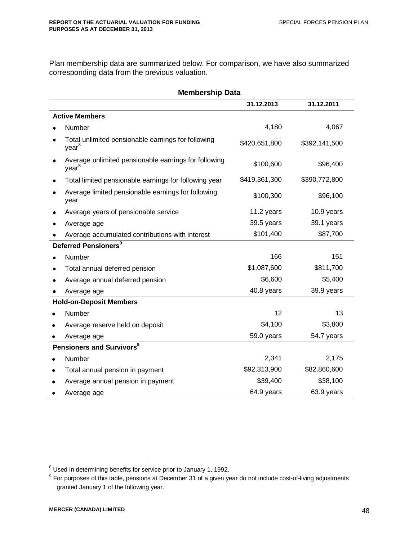Plan membership data are summarized below. For comparison, we have also summarized corresponding data from the previous valuation.

|   | <b>Membership Data</b>                                                    |               |               |  |  |  |  |
|---|---------------------------------------------------------------------------|---------------|---------------|--|--|--|--|
|   |                                                                           | 31.12.2013    | 31.12.2011    |  |  |  |  |
|   | <b>Active Members</b>                                                     |               |               |  |  |  |  |
|   | Number                                                                    | 4,180         | 4,067         |  |  |  |  |
|   | Total unlimited pensionable earnings for following<br>year <sup>8</sup>   | \$420,651,800 | \$392,141,500 |  |  |  |  |
|   | Average unlimited pensionable earnings for following<br>year <sup>8</sup> | \$100,600     | \$96,400      |  |  |  |  |
|   | Total limited pensionable earnings for following year                     | \$419,361,300 | \$390,772,800 |  |  |  |  |
|   | Average limited pensionable earnings for following<br>year                | \$100,300     | \$96,100      |  |  |  |  |
|   | Average years of pensionable service                                      | 11.2 years    | 10.9 years    |  |  |  |  |
|   | Average age                                                               | 39.5 years    | 39.1 years    |  |  |  |  |
|   | Average accumulated contributions with interest                           | \$101,400     | \$87,700      |  |  |  |  |
|   | Deferred Pensioners <sup>9</sup>                                          |               |               |  |  |  |  |
|   | Number                                                                    | 166           | 151           |  |  |  |  |
|   | Total annual deferred pension                                             | \$1,087,600   | \$811,700     |  |  |  |  |
|   | Average annual deferred pension                                           | \$6,600       | \$5,400       |  |  |  |  |
|   | Average age                                                               | 40.8 years    | 39.9 years    |  |  |  |  |
|   | <b>Hold-on-Deposit Members</b>                                            |               |               |  |  |  |  |
|   | Number                                                                    | 12            | 13            |  |  |  |  |
|   | Average reserve held on deposit                                           | \$4,100       | \$3,800       |  |  |  |  |
|   | Average age                                                               | 59.0 years    | 54.7 years    |  |  |  |  |
|   | Pensioners and Survivors <sup>9</sup>                                     |               |               |  |  |  |  |
|   | Number                                                                    | 2,341         | 2,175         |  |  |  |  |
| ٠ | Total annual pension in payment                                           | \$92,313,900  | \$82,860,600  |  |  |  |  |
|   | Average annual pension in payment                                         | \$39,400      | \$38,100      |  |  |  |  |
|   | Average age                                                               | 64.9 years    | 63.9 years    |  |  |  |  |

 $8$  Used in determining benefits for service prior to January 1, 1992.

 $9$  For purposes of this table, pensions at December 31 of a given year do not include cost-of-living adjustments granted January 1 of the following year.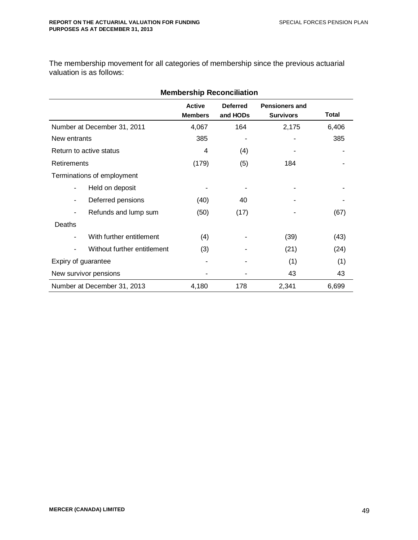The membership movement for all categories of membership since the previous actuarial valuation is as follows:

|                       | <b>Membership Reconciliation</b> |                                 |                             |                                           |       |  |  |  |
|-----------------------|----------------------------------|---------------------------------|-----------------------------|-------------------------------------------|-------|--|--|--|
|                       |                                  | <b>Active</b><br><b>Members</b> | <b>Deferred</b><br>and HODs | <b>Pensioners and</b><br><b>Survivors</b> | Total |  |  |  |
|                       | Number at December 31, 2011      | 4,067                           | 164                         | 2,175                                     | 6,406 |  |  |  |
| New entrants          |                                  | 385                             |                             |                                           | 385   |  |  |  |
|                       | Return to active status          | 4                               | (4)                         |                                           |       |  |  |  |
| Retirements           |                                  | (179)                           | (5)                         | 184                                       |       |  |  |  |
|                       | Terminations of employment       |                                 |                             |                                           |       |  |  |  |
| ٠                     | Held on deposit                  |                                 |                             |                                           |       |  |  |  |
| $\blacksquare$        | Deferred pensions                | (40)                            | 40                          |                                           |       |  |  |  |
| ٠                     | Refunds and lump sum             | (50)                            | (17)                        |                                           | (67)  |  |  |  |
| Deaths                |                                  |                                 |                             |                                           |       |  |  |  |
| ٠                     | With further entitlement         | (4)                             |                             | (39)                                      | (43)  |  |  |  |
| ٠                     | Without further entitlement      | (3)                             |                             | (21)                                      | (24)  |  |  |  |
|                       | Expiry of guarantee              |                                 |                             | (1)                                       | (1)   |  |  |  |
| New survivor pensions |                                  |                                 |                             | 43                                        | 43    |  |  |  |
|                       | Number at December 31, 2013      | 4,180                           | 178                         | 2,341                                     | 6,699 |  |  |  |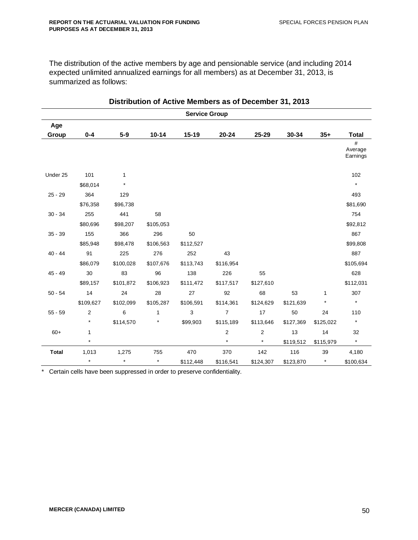The distribution of the active members by age and pensionable service (and including 2014 expected unlimited annualized earnings for all members) as at December 31, 2013, is summarized as follows:

| <b>Service Group</b> |           |           |              |           |                |                |           |           |                          |
|----------------------|-----------|-----------|--------------|-----------|----------------|----------------|-----------|-----------|--------------------------|
| Age                  |           |           |              |           |                |                |           |           |                          |
| Group                | $0 - 4$   | $5-9$     | $10 - 14$    | 15-19     | 20-24          | 25-29          | 30-34     | $35+$     | <b>Total</b>             |
|                      |           |           |              |           |                |                |           |           | #<br>Average<br>Earnings |
| Under 25             | 101       | 1         |              |           |                |                |           |           | 102                      |
|                      | \$68,014  | $\star$   |              |           |                |                |           |           | $\star$                  |
| $25 - 29$            | 364       | 129       |              |           |                |                |           |           | 493                      |
|                      | \$76,358  | \$96,738  |              |           |                |                |           |           | \$81,690                 |
| $30 - 34$            | 255       | 441       | 58           |           |                |                |           |           | 754                      |
|                      | \$80,696  | \$98,207  | \$105,053    |           |                |                |           |           | \$92,812                 |
| $35 - 39$            | 155       | 366       | 296          | 50        |                |                |           |           | 867                      |
|                      | \$85,948  | \$98,478  | \$106,563    | \$112,527 |                |                |           |           | \$99,808                 |
| $40 - 44$            | 91        | 225       | 276          | 252       | 43             |                |           |           | 887                      |
|                      | \$86,079  | \$100,028 | \$107,676    | \$113,743 | \$116,954      |                |           |           | \$105,694                |
| $45 - 49$            | 30        | 83        | 96           | 138       | 226            | 55             |           |           | 628                      |
|                      | \$89,157  | \$101,872 | \$106,923    | \$111,472 | \$117,517      | \$127,610      |           |           | \$112,031                |
| $50 - 54$            | 14        | 24        | 28           | 27        | 92             | 68             | 53        | 1         | 307                      |
|                      | \$109,627 | \$102,099 | \$105,287    | \$106,591 | \$114,361      | \$124,629      | \$121,639 | $\star$   | $\star$                  |
| $55 - 59$            | 2         | 6         | $\mathbf{1}$ | 3         | $\overline{7}$ | 17             | 50        | 24        | 110                      |
|                      |           | \$114,570 |              | \$99,903  | \$115,189      | \$113,646      | \$127,369 | \$125,022 | $\star$                  |
| $60+$                | 1         |           |              |           | $\overline{2}$ | $\overline{2}$ | 13        | 14        | 32                       |
|                      | $\star$   |           |              |           | $\star$        | $\star$        | \$119,512 | \$115,979 | $\star$                  |
| <b>Total</b>         | 1,013     | 1,275     | 755          | 470       | 370            | 142            | 116       | 39        | 4,180                    |
|                      | $\star$   | $\star$   | $\star$      | \$112,448 | \$116,541      | \$124,307      | \$123,870 | $\star$   | \$100,634                |

**Distribution of Active Members as of December 31, 2013**

\* Certain cells have been suppressed in order to preserve confidentiality.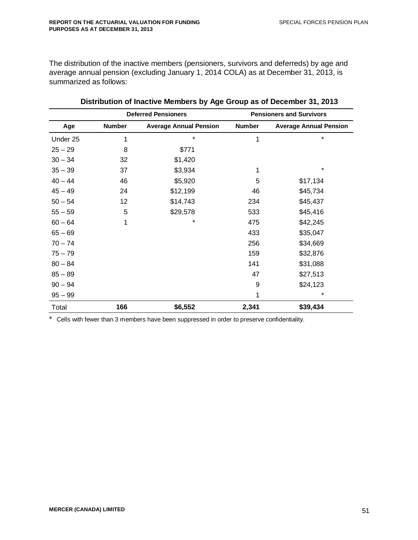The distribution of the inactive members (pensioners, survivors and deferreds) by age and average annual pension (excluding January 1, 2014 COLA) as at December 31, 2013, is summarized as follows:

|           | <b>Deferred Pensioners</b> |                               |               | <b>Pensioners and Survivors</b> |
|-----------|----------------------------|-------------------------------|---------------|---------------------------------|
| Age       | <b>Number</b>              | <b>Average Annual Pension</b> | <b>Number</b> | <b>Average Annual Pension</b>   |
| Under 25  | 1                          | $\star$                       | 1             | $\star$                         |
| $25 - 29$ | 8                          | \$771                         |               |                                 |
| $30 - 34$ | 32                         | \$1,420                       |               |                                 |
| $35 - 39$ | 37                         | \$3,934                       | 1             | $\star$                         |
| $40 - 44$ | 46                         | \$5,920                       | 5             | \$17,134                        |
| $45 - 49$ | 24                         | \$12,199                      | 46            | \$45,734                        |
| $50 - 54$ | 12                         | \$14,743                      | 234           | \$45,437                        |
| $55 - 59$ | 5                          | \$29,578                      | 533           | \$45,416                        |
| $60 - 64$ | 1                          | $\star$                       | 475           | \$42,245                        |
| $65 - 69$ |                            |                               | 433           | \$35,047                        |
| $70 - 74$ |                            |                               | 256           | \$34,669                        |
| $75 - 79$ |                            |                               | 159           | \$32,876                        |
| $80 - 84$ |                            |                               | 141           | \$31,088                        |
| $85 - 89$ |                            |                               | 47            | \$27,513                        |
| $90 - 94$ |                            |                               | 9             | \$24,123                        |
| $95 - 99$ |                            |                               | 1             | $^\star$                        |
| Total     | 166                        | \$6,552                       | 2,341         | \$39,434                        |

| Distribution of Inactive Members by Age Group as of December 31, 2013 |  |  |  |  |  |  |
|-----------------------------------------------------------------------|--|--|--|--|--|--|
|-----------------------------------------------------------------------|--|--|--|--|--|--|

\* Cells with fewer than 3 members have been suppressed in order to preserve confidentiality.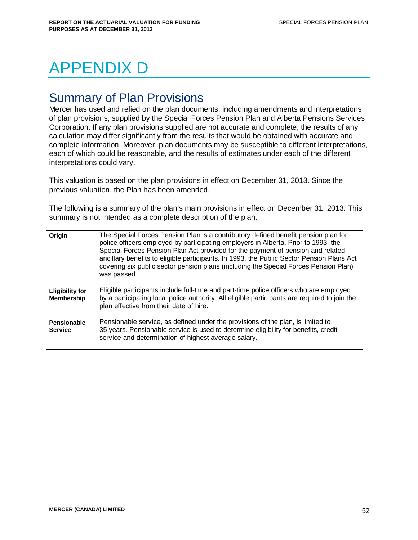# APPENDIX D

# Summary of Plan Provisions

Mercer has used and relied on the plan documents, including amendments and interpretations of plan provisions, supplied by the Special Forces Pension Plan and Alberta Pensions Services Corporation. If any plan provisions supplied are not accurate and complete, the results of any calculation may differ significantly from the results that would be obtained with accurate and complete information. Moreover, plan documents may be susceptible to different interpretations, each of which could be reasonable, and the results of estimates under each of the different interpretations could vary.

This valuation is based on the plan provisions in effect on December 31, 2013. Since the previous valuation, the Plan has been amended.

The following is a summary of the plan's main provisions in effect on December 31, 2013. This summary is not intended as a complete description of the plan.

| Origin                                      | The Special Forces Pension Plan is a contributory defined benefit pension plan for<br>police officers employed by participating employers in Alberta. Prior to 1993, the<br>Special Forces Pension Plan Act provided for the payment of pension and related<br>ancillary benefits to eligible participants. In 1993, the Public Sector Pension Plans Act<br>covering six public sector pension plans (including the Special Forces Pension Plan)<br>was passed. |
|---------------------------------------------|-----------------------------------------------------------------------------------------------------------------------------------------------------------------------------------------------------------------------------------------------------------------------------------------------------------------------------------------------------------------------------------------------------------------------------------------------------------------|
| <b>Eligibility for</b><br><b>Membership</b> | Eligible participants include full-time and part-time police officers who are employed<br>by a participating local police authority. All eligible participants are required to join the<br>plan effective from their date of hire.                                                                                                                                                                                                                              |
| <b>Pensionable</b><br><b>Service</b>        | Pensionable service, as defined under the provisions of the plan, is limited to<br>35 years. Pensionable service is used to determine eligibility for benefits, credit<br>service and determination of highest average salary.                                                                                                                                                                                                                                  |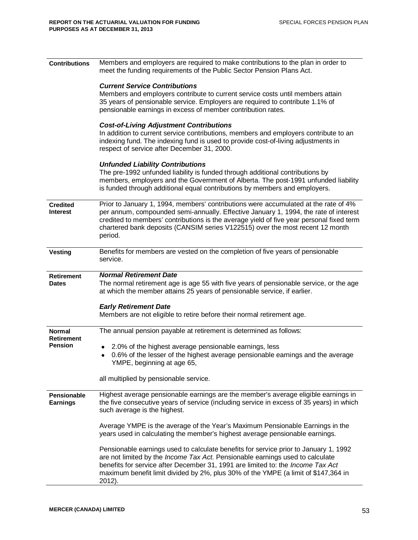| <b>Contributions</b>                  | Members and employers are required to make contributions to the plan in order to<br>meet the funding requirements of the Public Sector Pension Plans Act.                                                                                                                                                                                                           |
|---------------------------------------|---------------------------------------------------------------------------------------------------------------------------------------------------------------------------------------------------------------------------------------------------------------------------------------------------------------------------------------------------------------------|
|                                       | <b>Current Service Contributions</b>                                                                                                                                                                                                                                                                                                                                |
|                                       | Members and employers contribute to current service costs until members attain<br>35 years of pensionable service. Employers are required to contribute 1.1% of                                                                                                                                                                                                     |
|                                       | pensionable earnings in excess of member contribution rates.                                                                                                                                                                                                                                                                                                        |
|                                       | <b>Cost-of-Living Adjustment Contributions</b><br>In addition to current service contributions, members and employers contribute to an                                                                                                                                                                                                                              |
|                                       | indexing fund. The indexing fund is used to provide cost-of-living adjustments in<br>respect of service after December 31, 2000.                                                                                                                                                                                                                                    |
|                                       | <b>Unfunded Liability Contributions</b>                                                                                                                                                                                                                                                                                                                             |
|                                       | The pre-1992 unfunded liability is funded through additional contributions by<br>members, employers and the Government of Alberta. The post-1991 unfunded liability<br>is funded through additional equal contributions by members and employers.                                                                                                                   |
| <b>Credited</b><br>Interest           | Prior to January 1, 1994, members' contributions were accumulated at the rate of 4%<br>per annum, compounded semi-annually. Effective January 1, 1994, the rate of interest<br>credited to members' contributions is the average yield of five year personal fixed term<br>chartered bank deposits (CANSIM series V122515) over the most recent 12 month<br>period. |
| <b>Vesting</b>                        | Benefits for members are vested on the completion of five years of pensionable<br>service.                                                                                                                                                                                                                                                                          |
| <b>Retirement</b>                     | <b>Normal Retirement Date</b>                                                                                                                                                                                                                                                                                                                                       |
| <b>Dates</b>                          | The normal retirement age is age 55 with five years of pensionable service, or the age<br>at which the member attains 25 years of pensionable service, if earlier.                                                                                                                                                                                                  |
|                                       | <b>Early Retirement Date</b>                                                                                                                                                                                                                                                                                                                                        |
|                                       | Members are not eligible to retire before their normal retirement age.                                                                                                                                                                                                                                                                                              |
| <b>Normal</b><br><b>Retirement</b>    | The annual pension payable at retirement is determined as follows:                                                                                                                                                                                                                                                                                                  |
| <b>Pension</b>                        | 2.0% of the highest average pensionable earnings, less<br>٠<br>0.6% of the lesser of the highest average pensionable earnings and the average<br>$\bullet$<br>YMPE, beginning at age 65,                                                                                                                                                                            |
|                                       | all multiplied by pensionable service.                                                                                                                                                                                                                                                                                                                              |
| <b>Pensionable</b><br><b>Earnings</b> | Highest average pensionable earnings are the member's average eligible earnings in<br>the five consecutive years of service (including service in excess of 35 years) in which<br>such average is the highest.                                                                                                                                                      |
|                                       | Average YMPE is the average of the Year's Maximum Pensionable Earnings in the<br>years used in calculating the member's highest average pensionable earnings.                                                                                                                                                                                                       |
|                                       | Pensionable earnings used to calculate benefits for service prior to January 1, 1992<br>are not limited by the Income Tax Act. Pensionable earnings used to calculate<br>benefits for service after December 31, 1991 are limited to: the Income Tax Act<br>maximum benefit limit divided by 2%, plus 30% of the YMPE (a limit of \$147,364 in<br>2012).            |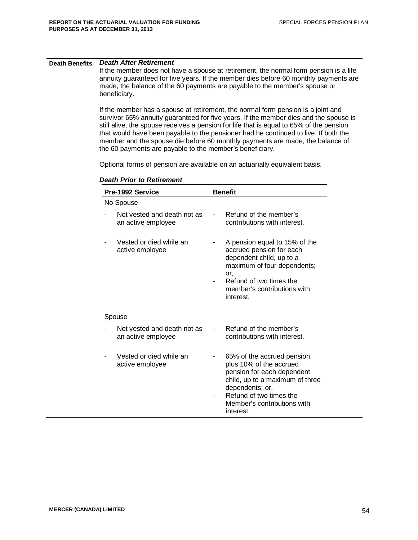#### **Death Benefits** *Death After Retirement*

If the member does not have a spouse at retirement, the normal form pension is a life annuity guaranteed for five years. If the member dies before 60 monthly payments are made, the balance of the 60 payments are payable to the member's spouse or beneficiary.

If the member has a spouse at retirement, the normal form pension is a joint and survivor 65% annuity guaranteed for five years. If the member dies and the spouse is still alive, the spouse receives a pension for life that is equal to 65% of the pension that would have been payable to the pensioner had he continued to live. If both the member and the spouse die before 60 monthly payments are made, the balance of the 60 payments are payable to the member's beneficiary.

Optional forms of pension are available on an actuarially equivalent basis.

| Pre-1992 Service |                                                   |  | <b>Benefit</b>                                                                                                                                                                                                    |  |  |  |
|------------------|---------------------------------------------------|--|-------------------------------------------------------------------------------------------------------------------------------------------------------------------------------------------------------------------|--|--|--|
|                  | No Spouse                                         |  |                                                                                                                                                                                                                   |  |  |  |
|                  | Not vested and death not as<br>an active employee |  | Refund of the member's<br>contributions with interest.                                                                                                                                                            |  |  |  |
|                  | Vested or died while an<br>active employee        |  | A pension equal to 15% of the<br>accrued pension for each<br>dependent child, up to a<br>maximum of four dependents;<br>or.<br>Refund of two times the<br>member's contributions with<br>interest.                |  |  |  |
|                  | Spouse                                            |  |                                                                                                                                                                                                                   |  |  |  |
|                  | Not vested and death not as<br>an active employee |  | Refund of the member's<br>contributions with interest.                                                                                                                                                            |  |  |  |
|                  | Vested or died while an<br>active employee        |  | 65% of the accrued pension,<br>plus 10% of the accrued<br>pension for each dependent<br>child, up to a maximum of three<br>dependents; or,<br>Refund of two times the<br>Member's contributions with<br>interest. |  |  |  |

#### *Death Prior to Retirement*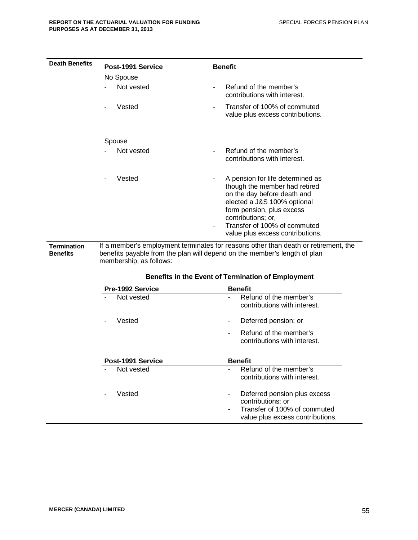| <b>Death Benefits</b>                 | Post-1991 Service                                  | <b>Benefit</b>                                                                                                                                                                                                                                                                                                                                                                                                                               |  |  |  |
|---------------------------------------|----------------------------------------------------|----------------------------------------------------------------------------------------------------------------------------------------------------------------------------------------------------------------------------------------------------------------------------------------------------------------------------------------------------------------------------------------------------------------------------------------------|--|--|--|
|                                       | No Spouse                                          |                                                                                                                                                                                                                                                                                                                                                                                                                                              |  |  |  |
|                                       | Not vested                                         | Refund of the member's<br>contributions with interest.                                                                                                                                                                                                                                                                                                                                                                                       |  |  |  |
|                                       | Vested                                             | Transfer of 100% of commuted<br>value plus excess contributions.                                                                                                                                                                                                                                                                                                                                                                             |  |  |  |
|                                       | Spouse                                             |                                                                                                                                                                                                                                                                                                                                                                                                                                              |  |  |  |
|                                       | Not vested                                         | Refund of the member's<br>contributions with interest.                                                                                                                                                                                                                                                                                                                                                                                       |  |  |  |
| <b>Termination</b><br><b>Benefits</b> | Vested<br>membership, as follows:                  | A pension for life determined as<br>$\blacksquare$<br>though the member had retired<br>on the day before death and<br>elected a J&S 100% optional<br>form pension, plus excess<br>contributions; or,<br>Transfer of 100% of commuted<br>value plus excess contributions.<br>If a member's employment terminates for reasons other than death or retirement, the<br>benefits payable from the plan will depend on the member's length of plan |  |  |  |
|                                       | Benefits in the Event of Termination of Employment |                                                                                                                                                                                                                                                                                                                                                                                                                                              |  |  |  |
|                                       | Pre-1992 Service                                   | <b>Benefit</b>                                                                                                                                                                                                                                                                                                                                                                                                                               |  |  |  |
|                                       | Not vested                                         | Refund of the member's<br>contributions with interest.                                                                                                                                                                                                                                                                                                                                                                                       |  |  |  |
|                                       | Vested                                             | Deferred pension; or                                                                                                                                                                                                                                                                                                                                                                                                                         |  |  |  |
|                                       |                                                    | Refund of the member's<br>contributions with interest.                                                                                                                                                                                                                                                                                                                                                                                       |  |  |  |
|                                       | Post-1991 Service                                  | <b>Benefit</b>                                                                                                                                                                                                                                                                                                                                                                                                                               |  |  |  |
|                                       | Not vested                                         | Refund of the member's<br>contributions with interest.                                                                                                                                                                                                                                                                                                                                                                                       |  |  |  |
|                                       | Vested                                             | Deferred pension plus excess<br>contributions; or<br>Transfer of 100% of commuted<br>value plus excess contributions.                                                                                                                                                                                                                                                                                                                        |  |  |  |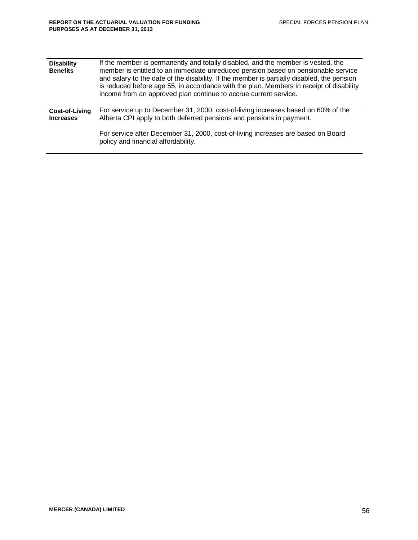| <b>Disability</b><br><b>Benefits</b> | If the member is permanently and totally disabled, and the member is vested, the<br>member is entitled to an immediate unreduced pension based on pensionable service<br>and salary to the date of the disability. If the member is partially disabled, the pension<br>is reduced before age 55, in accordance with the plan. Members in receipt of disability<br>income from an approved plan continue to accrue current service. |
|--------------------------------------|------------------------------------------------------------------------------------------------------------------------------------------------------------------------------------------------------------------------------------------------------------------------------------------------------------------------------------------------------------------------------------------------------------------------------------|
| Cost-of-Living<br><b>Increases</b>   | For service up to December 31, 2000, cost-of-living increases based on 60% of the<br>Alberta CPI apply to both deferred pensions and pensions in payment.                                                                                                                                                                                                                                                                          |
|                                      | For service after December 31, 2000, cost-of-living increases are based on Board<br>policy and financial affordability.                                                                                                                                                                                                                                                                                                            |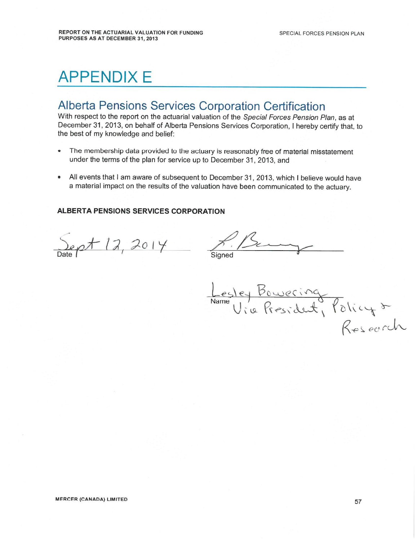# **APPENDIX E**

# **Alberta Pensions Services Corporation Certification**

With respect to the report on the actuarial valuation of the Special Forces Pension Plan, as at December 31, 2013, on behalf of Alberta Pensions Services Corporation, I hereby certify that, to the best of my knowledge and belief:

- The membership data provided to the actuary is reasonably free of material misstatement under the terms of the plan for service up to December 31, 2013, and
- All events that I am aware of subsequent to December 31, 2013, which I believe would have  $\bullet$ a material impact on the results of the valuation have been communicated to the actuary.

#### ALBERTA PENSIONS SERVICES CORPORATION

Sept 12, 2014

Sianed

Lesley Bowering<br>Via President, Policy &<br>Research